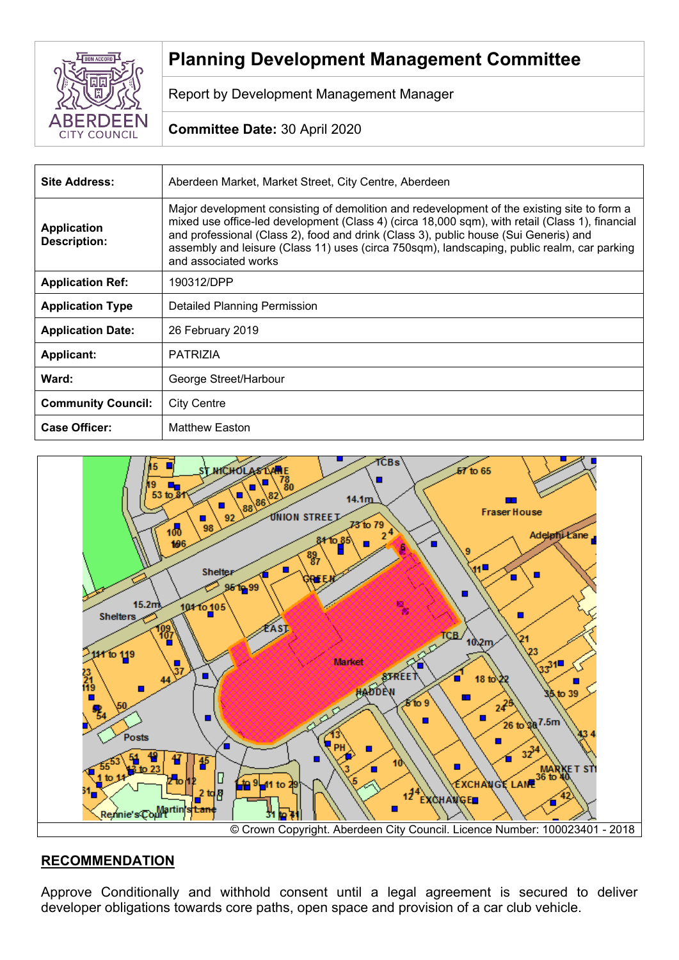

# **Planning Development Management Committee**

Report by Development Management Manager

# **Committee Date:** 30 April 2020

| <b>Site Address:</b>                      | Aberdeen Market, Market Street, City Centre, Aberdeen                                                                                                                                                                                                                                                                                                                                                         |
|-------------------------------------------|---------------------------------------------------------------------------------------------------------------------------------------------------------------------------------------------------------------------------------------------------------------------------------------------------------------------------------------------------------------------------------------------------------------|
| <b>Application</b><br><b>Description:</b> | Major development consisting of demolition and redevelopment of the existing site to form a<br>mixed use office-led development (Class 4) (circa 18,000 sqm), with retail (Class 1), financial<br>and professional (Class 2), food and drink (Class 3), public house (Sui Generis) and<br>assembly and leisure (Class 11) uses (circa 750sqm), landscaping, public realm, car parking<br>and associated works |
| <b>Application Ref:</b>                   | 190312/DPP                                                                                                                                                                                                                                                                                                                                                                                                    |
| <b>Application Type</b>                   | <b>Detailed Planning Permission</b>                                                                                                                                                                                                                                                                                                                                                                           |
| <b>Application Date:</b>                  | 26 February 2019                                                                                                                                                                                                                                                                                                                                                                                              |
| <b>Applicant:</b>                         | <b>PATRIZIA</b>                                                                                                                                                                                                                                                                                                                                                                                               |
| Ward:                                     | George Street/Harbour                                                                                                                                                                                                                                                                                                                                                                                         |
| <b>Community Council:</b>                 | <b>City Centre</b>                                                                                                                                                                                                                                                                                                                                                                                            |
| <b>Case Officer:</b>                      | <b>Matthew Easton</b>                                                                                                                                                                                                                                                                                                                                                                                         |



# **RECOMMENDATION**

Approve Conditionally and withhold consent until a legal agreement is secured to deliver developer obligations towards core paths, open space and provision of a car club vehicle.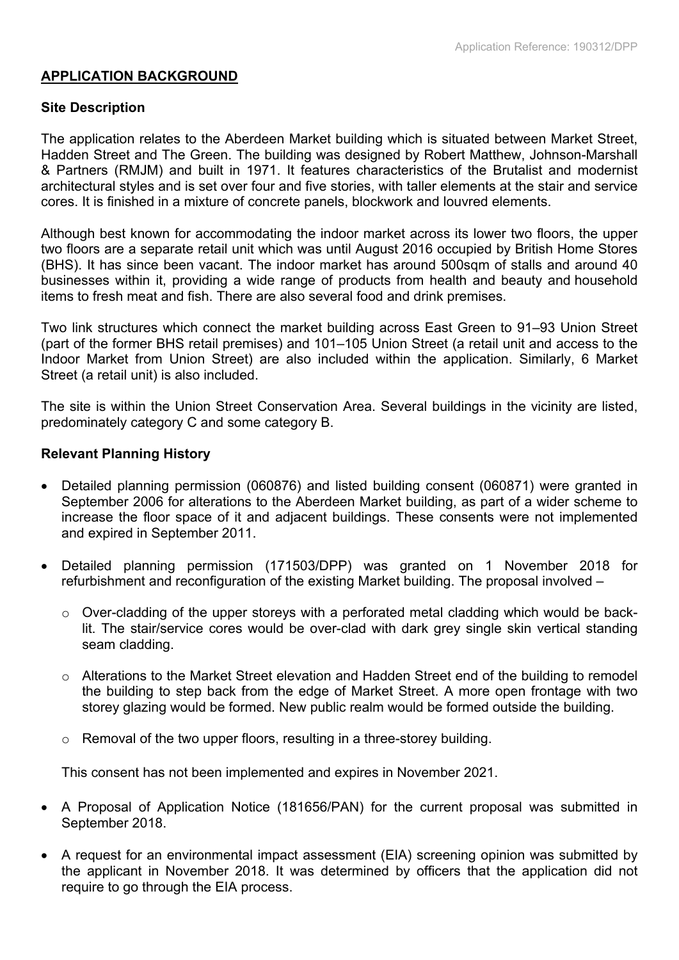## **APPLICATION BACKGROUND**

#### **Site Description**

The application relates to the Aberdeen Market building which is situated between Market Street, Hadden Street and The Green. The building was designed by Robert Matthew, Johnson-Marshall & Partners (RMJM) and built in 1971. It features characteristics of the Brutalist and modernist architectural styles and is set over four and five stories, with taller elements at the stair and service cores. It is finished in a mixture of concrete panels, blockwork and louvred elements.

Although best known for accommodating the indoor market across its lower two floors, the upper two floors are a separate retail unit which was until August 2016 occupied by British Home Stores (BHS). It has since been vacant. The indoor market has around 500sqm of stalls and around 40 businesses within it, providing a wide range of products from health and beauty and household items to fresh meat and fish. There are also several food and drink premises.

Two link structures which connect the market building across East Green to 91–93 Union Street (part of the former BHS retail premises) and 101–105 Union Street (a retail unit and access to the Indoor Market from Union Street) are also included within the application. Similarly, 6 Market Street (a retail unit) is also included.

The site is within the Union Street Conservation Area. Several buildings in the vicinity are listed, predominately category C and some category B.

#### **Relevant Planning History**

- Detailed planning permission (060876) and listed building consent (060871) were granted in September 2006 for alterations to the Aberdeen Market building, as part of a wider scheme to increase the floor space of it and adjacent buildings. These consents were not implemented and expired in September 2011.
- Detailed planning permission (171503/DPP) was granted on 1 November 2018 for refurbishment and reconfiguration of the existing Market building. The proposal involved –
	- o Over-cladding of the upper storeys with a perforated metal cladding which would be backlit. The stair/service cores would be over-clad with dark grey single skin vertical standing seam cladding.
	- o Alterations to the Market Street elevation and Hadden Street end of the building to remodel the building to step back from the edge of Market Street. A more open frontage with two storey glazing would be formed. New public realm would be formed outside the building.
	- o Removal of the two upper floors, resulting in a three-storey building.

This consent has not been implemented and expires in November 2021.

- A Proposal of Application Notice (181656/PAN) for the current proposal was submitted in September 2018.
- A request for an environmental impact assessment (EIA) screening opinion was submitted by the applicant in November 2018. It was determined by officers that the application did not require to go through the EIA process.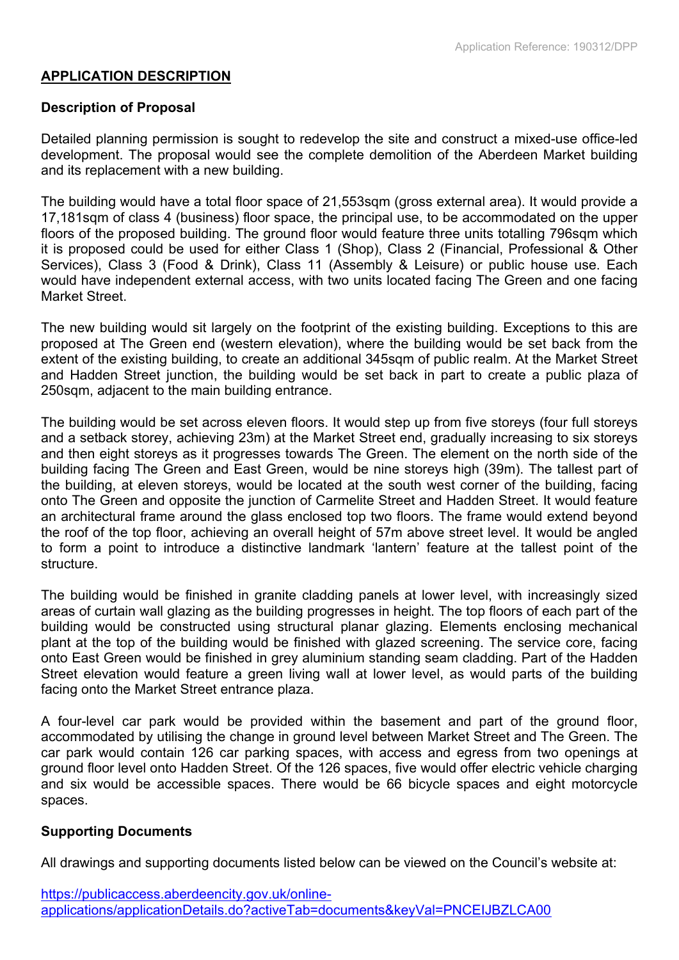## **APPLICATION DESCRIPTION**

## **Description of Proposal**

Detailed planning permission is sought to redevelop the site and construct a mixed-use office-led development. The proposal would see the complete demolition of the Aberdeen Market building and its replacement with a new building.

The building would have a total floor space of 21,553sqm (gross external area). It would provide a 17,181sqm of class 4 (business) floor space, the principal use, to be accommodated on the upper floors of the proposed building. The ground floor would feature three units totalling 796sqm which it is proposed could be used for either Class 1 (Shop), Class 2 (Financial, Professional & Other Services), Class 3 (Food & Drink), Class 11 (Assembly & Leisure) or public house use. Each would have independent external access, with two units located facing The Green and one facing Market Street.

The new building would sit largely on the footprint of the existing building. Exceptions to this are proposed at The Green end (western elevation), where the building would be set back from the extent of the existing building, to create an additional 345sqm of public realm. At the Market Street and Hadden Street junction, the building would be set back in part to create a public plaza of 250sqm, adjacent to the main building entrance.

The building would be set across eleven floors. It would step up from five storeys (four full storeys and a setback storey, achieving 23m) at the Market Street end, gradually increasing to six storeys and then eight storeys as it progresses towards The Green. The element on the north side of the building facing The Green and East Green, would be nine storeys high (39m). The tallest part of the building, at eleven storeys, would be located at the south west corner of the building, facing onto The Green and opposite the junction of Carmelite Street and Hadden Street. It would feature an architectural frame around the glass enclosed top two floors. The frame would extend beyond the roof of the top floor, achieving an overall height of 57m above street level. It would be angled to form a point to introduce a distinctive landmark 'lantern' feature at the tallest point of the structure.

The building would be finished in granite cladding panels at lower level, with increasingly sized areas of curtain wall glazing as the building progresses in height. The top floors of each part of the building would be constructed using structural planar glazing. Elements enclosing mechanical plant at the top of the building would be finished with glazed screening. The service core, facing onto East Green would be finished in grey aluminium standing seam cladding. Part of the Hadden Street elevation would feature a green living wall at lower level, as would parts of the building facing onto the Market Street entrance plaza.

A four-level car park would be provided within the basement and part of the ground floor, accommodated by utilising the change in ground level between Market Street and The Green. The car park would contain 126 car parking spaces, with access and egress from two openings at ground floor level onto Hadden Street. Of the 126 spaces, five would offer electric vehicle charging and six would be accessible spaces. There would be 66 bicycle spaces and eight motorcycle spaces.

## **Supporting Documents**

All drawings and supporting documents listed below can be viewed on the Council's website at: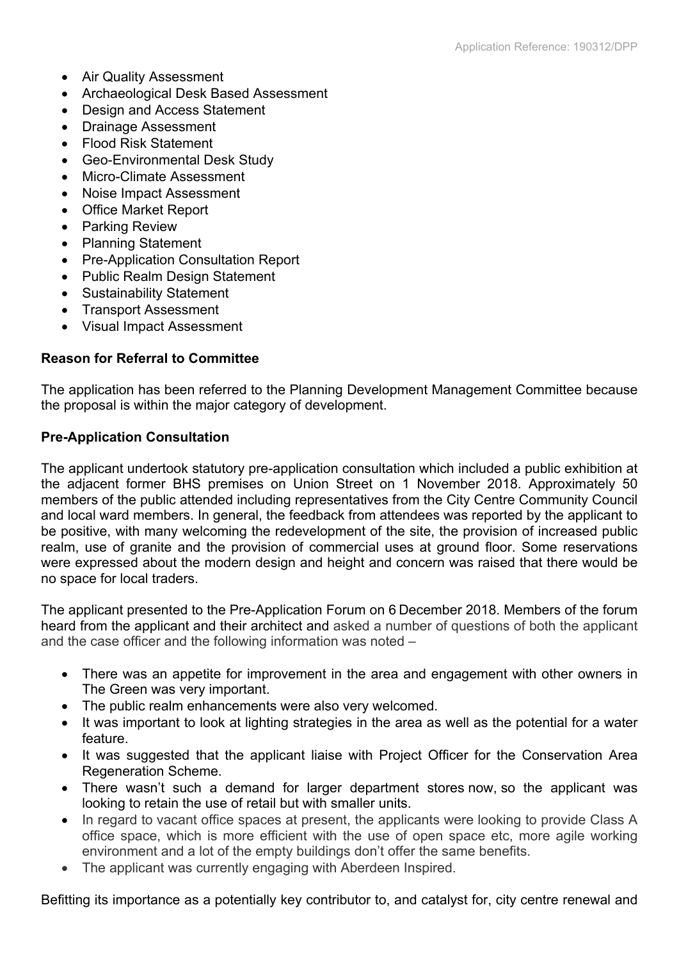- Air Quality Assessment
- Archaeological Desk Based Assessment
- Design and Access Statement
- Drainage Assessment
- Flood Risk Statement
- Geo-Environmental Desk Study
- Micro-Climate Assessment
- Noise Impact Assessment
- Office Market Report
- Parking Review
- Planning Statement
- Pre-Application Consultation Report
- Public Realm Design Statement
- Sustainability Statement
- Transport Assessment
- Visual Impact Assessment

## **Reason for Referral to Committee**

The application has been referred to the Planning Development Management Committee because the proposal is within the major category of development.

## **Pre-Application Consultation**

The applicant undertook statutory pre-application consultation which included a public exhibition at the adjacent former BHS premises on Union Street on 1 November 2018. Approximately 50 members of the public attended including representatives from the City Centre Community Council and local ward members. In general, the feedback from attendees was reported by the applicant to be positive, with many welcoming the redevelopment of the site, the provision of increased public realm, use of granite and the provision of commercial uses at ground floor. Some reservations were expressed about the modern design and height and concern was raised that there would be no space for local traders.

The applicant presented to the Pre-Application Forum on 6 December 2018. Members of the forum heard from the applicant and their architect and asked a number of questions of both the applicant and the case officer and the following information was noted –

- There was an appetite for improvement in the area and engagement with other owners in The Green was very important.
- The public realm enhancements were also very welcomed.
- It was important to look at lighting strategies in the area as well as the potential for a water feature.
- It was suggested that the applicant liaise with Project Officer for the Conservation Area Regeneration Scheme.
- There wasn't such a demand for larger department stores now, so the applicant was looking to retain the use of retail but with smaller units.
- In regard to vacant office spaces at present, the applicants were looking to provide Class A office space, which is more efficient with the use of open space etc, more agile working environment and a lot of the empty buildings don't offer the same benefits.
- The applicant was currently engaging with Aberdeen Inspired.

Befitting its importance as a potentially key contributor to, and catalyst for, city centre renewal and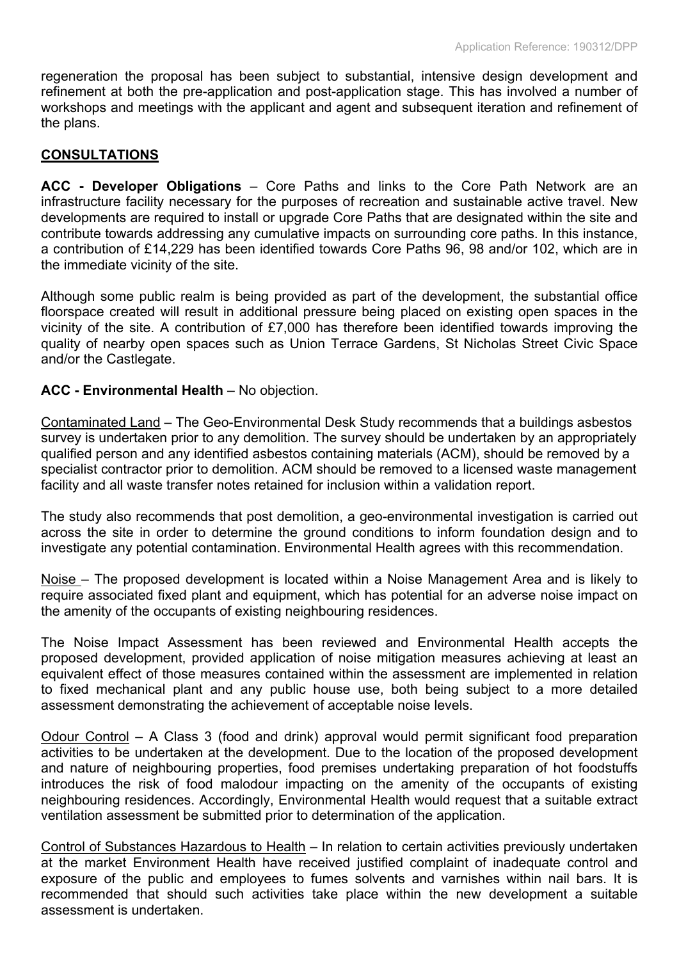regeneration the proposal has been subject to substantial, intensive design development and refinement at both the pre-application and post-application stage. This has involved a number of workshops and meetings with the applicant and agent and subsequent iteration and refinement of the plans.

## **CONSULTATIONS**

**ACC - Developer Obligations** – Core Paths and links to the Core Path Network are an infrastructure facility necessary for the purposes of recreation and sustainable active travel. New developments are required to install or upgrade Core Paths that are designated within the site and contribute towards addressing any cumulative impacts on surrounding core paths. In this instance, a contribution of £14,229 has been identified towards Core Paths 96, 98 and/or 102, which are in the immediate vicinity of the site.

Although some public realm is being provided as part of the development, the substantial office floorspace created will result in additional pressure being placed on existing open spaces in the vicinity of the site. A contribution of £7,000 has therefore been identified towards improving the quality of nearby open spaces such as Union Terrace Gardens, St Nicholas Street Civic Space and/or the Castlegate.

## **ACC - Environmental Health** – No objection.

Contaminated Land – The Geo-Environmental Desk Study recommends that a buildings asbestos survey is undertaken prior to any demolition. The survey should be undertaken by an appropriately qualified person and any identified asbestos containing materials (ACM), should be removed by a specialist contractor prior to demolition. ACM should be removed to a licensed waste management facility and all waste transfer notes retained for inclusion within a validation report.

The study also recommends that post demolition, a geo-environmental investigation is carried out across the site in order to determine the ground conditions to inform foundation design and to investigate any potential contamination. Environmental Health agrees with this recommendation.

Noise – The proposed development is located within a Noise Management Area and is likely to require associated fixed plant and equipment, which has potential for an adverse noise impact on the amenity of the occupants of existing neighbouring residences.

The Noise Impact Assessment has been reviewed and Environmental Health accepts the proposed development, provided application of noise mitigation measures achieving at least an equivalent effect of those measures contained within the assessment are implemented in relation to fixed mechanical plant and any public house use, both being subject to a more detailed assessment demonstrating the achievement of acceptable noise levels.

Odour Control – A Class 3 (food and drink) approval would permit significant food preparation activities to be undertaken at the development. Due to the location of the proposed development and nature of neighbouring properties, food premises undertaking preparation of hot foodstuffs introduces the risk of food malodour impacting on the amenity of the occupants of existing neighbouring residences. Accordingly, Environmental Health would request that a suitable extract ventilation assessment be submitted prior to determination of the application.

Control of Substances Hazardous to Health – In relation to certain activities previously undertaken at the market Environment Health have received justified complaint of inadequate control and exposure of the public and employees to fumes solvents and varnishes within nail bars. It is recommended that should such activities take place within the new development a suitable assessment is undertaken.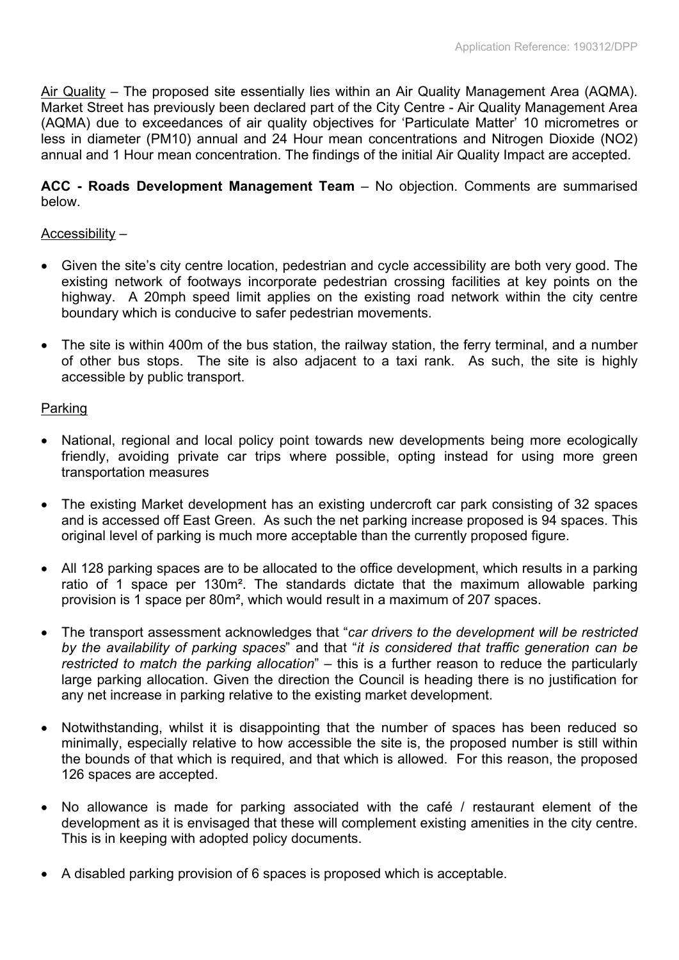Air Quality – The proposed site essentially lies within an Air Quality Management Area (AQMA). Market Street has previously been declared part of the City Centre - Air Quality Management Area (AQMA) due to exceedances of air quality objectives for 'Particulate Matter' 10 micrometres or less in diameter (PM10) annual and 24 Hour mean concentrations and Nitrogen Dioxide (NO2) annual and 1 Hour mean concentration. The findings of the initial Air Quality Impact are accepted.

**ACC - Roads Development Management Team** – No objection. Comments are summarised below.

## Accessibility –

- Given the site's city centre location, pedestrian and cycle accessibility are both very good. The existing network of footways incorporate pedestrian crossing facilities at key points on the highway. A 20mph speed limit applies on the existing road network within the city centre boundary which is conducive to safer pedestrian movements.
- The site is within 400m of the bus station, the railway station, the ferry terminal, and a number of other bus stops. The site is also adjacent to a taxi rank. As such, the site is highly accessible by public transport.

## Parking

- National, regional and local policy point towards new developments being more ecologically friendly, avoiding private car trips where possible, opting instead for using more green transportation measures
- The existing Market development has an existing undercroft car park consisting of 32 spaces and is accessed off East Green. As such the net parking increase proposed is 94 spaces. This original level of parking is much more acceptable than the currently proposed figure.
- All 128 parking spaces are to be allocated to the office development, which results in a parking ratio of 1 space per 130m². The standards dictate that the maximum allowable parking provision is 1 space per 80m², which would result in a maximum of 207 spaces.
- The transport assessment acknowledges that "*car drivers to the development will be restricted by the availability of parking spaces*" and that "*it is considered that traffic generation can be restricted to match the parking allocation*" – this is a further reason to reduce the particularly large parking allocation. Given the direction the Council is heading there is no justification for any net increase in parking relative to the existing market development.
- Notwithstanding, whilst it is disappointing that the number of spaces has been reduced so minimally, especially relative to how accessible the site is, the proposed number is still within the bounds of that which is required, and that which is allowed. For this reason, the proposed 126 spaces are accepted.
- No allowance is made for parking associated with the café / restaurant element of the development as it is envisaged that these will complement existing amenities in the city centre. This is in keeping with adopted policy documents.
- A disabled parking provision of 6 spaces is proposed which is acceptable.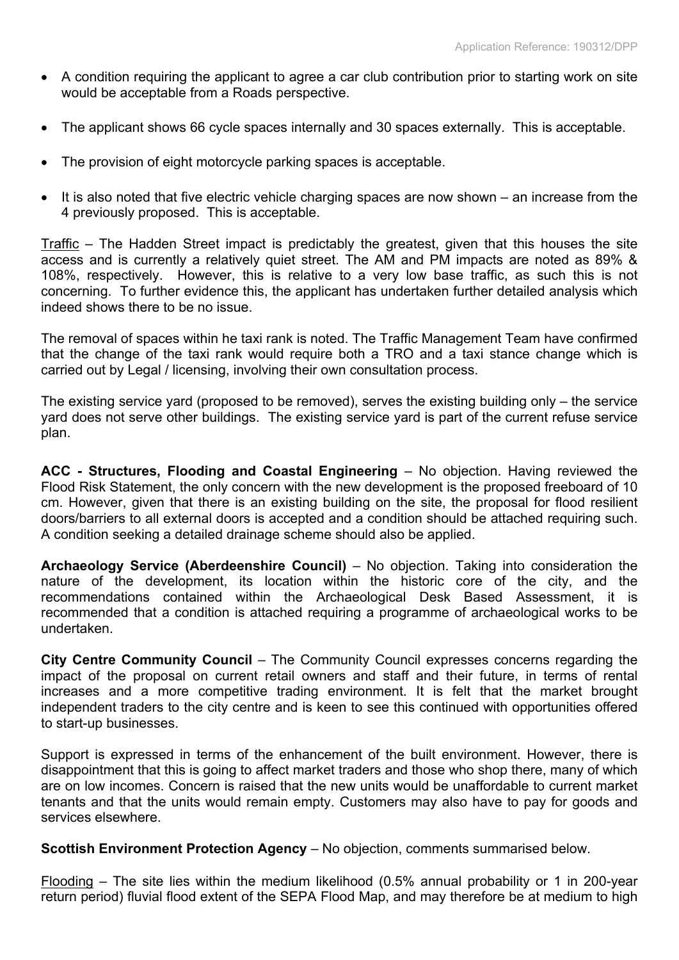- A condition requiring the applicant to agree a car club contribution prior to starting work on site would be acceptable from a Roads perspective.
- The applicant shows 66 cycle spaces internally and 30 spaces externally. This is acceptable.
- The provision of eight motorcycle parking spaces is acceptable.
- It is also noted that five electric vehicle charging spaces are now shown an increase from the 4 previously proposed. This is acceptable.

Traffic – The Hadden Street impact is predictably the greatest, given that this houses the site access and is currently a relatively quiet street. The AM and PM impacts are noted as 89% & 108%, respectively. However, this is relative to a very low base traffic, as such this is not concerning. To further evidence this, the applicant has undertaken further detailed analysis which indeed shows there to be no issue.

The removal of spaces within he taxi rank is noted. The Traffic Management Team have confirmed that the change of the taxi rank would require both a TRO and a taxi stance change which is carried out by Legal / licensing, involving their own consultation process.

The existing service yard (proposed to be removed), serves the existing building only – the service yard does not serve other buildings. The existing service yard is part of the current refuse service plan.

**ACC - Structures, Flooding and Coastal Engineering** – No objection. Having reviewed the Flood Risk Statement, the only concern with the new development is the proposed freeboard of 10 cm. However, given that there is an existing building on the site, the proposal for flood resilient doors/barriers to all external doors is accepted and a condition should be attached requiring such. A condition seeking a detailed drainage scheme should also be applied.

**Archaeology Service (Aberdeenshire Council)** – No objection. Taking into consideration the nature of the development, its location within the historic core of the city, and the recommendations contained within the Archaeological Desk Based Assessment, it is recommended that a condition is attached requiring a programme of archaeological works to be undertaken.

**City Centre Community Council** – The Community Council expresses concerns regarding the impact of the proposal on current retail owners and staff and their future, in terms of rental increases and a more competitive trading environment. It is felt that the market brought independent traders to the city centre and is keen to see this continued with opportunities offered to start-up businesses.

Support is expressed in terms of the enhancement of the built environment. However, there is disappointment that this is going to affect market traders and those who shop there, many of which are on low incomes. Concern is raised that the new units would be unaffordable to current market tenants and that the units would remain empty. Customers may also have to pay for goods and services elsewhere.

**Scottish Environment Protection Agency** – No objection, comments summarised below.

Flooding – The site lies within the medium likelihood (0.5% annual probability or 1 in 200-year return period) fluvial flood extent of the SEPA Flood Map, and may therefore be at medium to high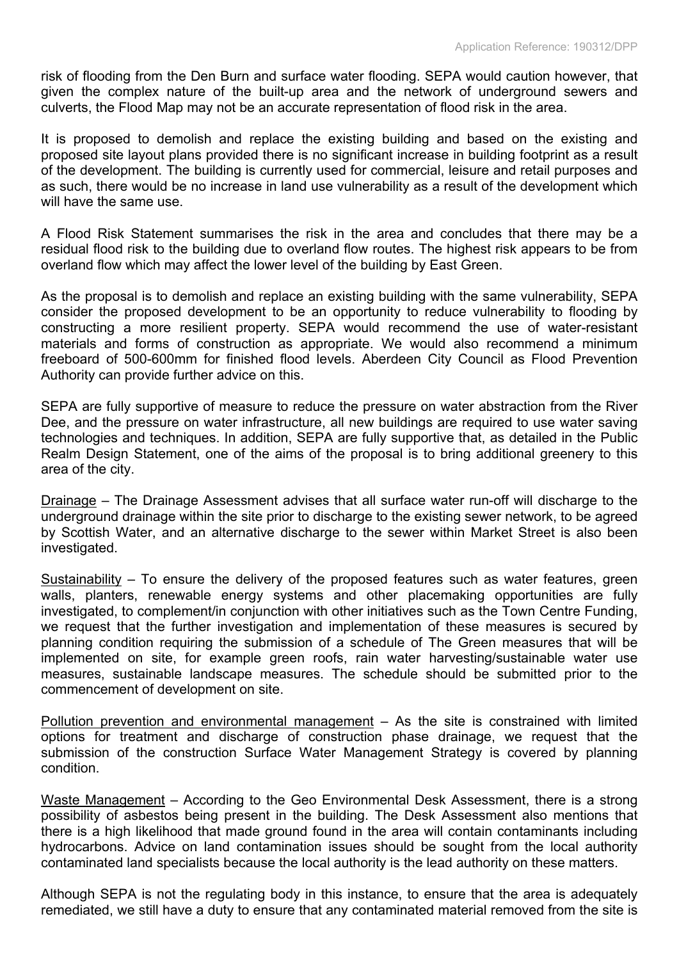risk of flooding from the Den Burn and surface water flooding. SEPA would caution however, that given the complex nature of the built-up area and the network of underground sewers and culverts, the Flood Map may not be an accurate representation of flood risk in the area.

It is proposed to demolish and replace the existing building and based on the existing and proposed site layout plans provided there is no significant increase in building footprint as a result of the development. The building is currently used for commercial, leisure and retail purposes and as such, there would be no increase in land use vulnerability as a result of the development which will have the same use.

A Flood Risk Statement summarises the risk in the area and concludes that there may be a residual flood risk to the building due to overland flow routes. The highest risk appears to be from overland flow which may affect the lower level of the building by East Green.

As the proposal is to demolish and replace an existing building with the same vulnerability, SEPA consider the proposed development to be an opportunity to reduce vulnerability to flooding by constructing a more resilient property. SEPA would recommend the use of water-resistant materials and forms of construction as appropriate. We would also recommend a minimum freeboard of 500-600mm for finished flood levels. Aberdeen City Council as Flood Prevention Authority can provide further advice on this.

SEPA are fully supportive of measure to reduce the pressure on water abstraction from the River Dee, and the pressure on water infrastructure, all new buildings are required to use water saving technologies and techniques. In addition, SEPA are fully supportive that, as detailed in the Public Realm Design Statement, one of the aims of the proposal is to bring additional greenery to this area of the city.

Drainage – The Drainage Assessment advises that all surface water run-off will discharge to the underground drainage within the site prior to discharge to the existing sewer network, to be agreed by Scottish Water, and an alternative discharge to the sewer within Market Street is also been investigated.

Sustainability – To ensure the delivery of the proposed features such as water features, green walls, planters, renewable energy systems and other placemaking opportunities are fully investigated, to complement/in conjunction with other initiatives such as the Town Centre Funding, we request that the further investigation and implementation of these measures is secured by planning condition requiring the submission of a schedule of The Green measures that will be implemented on site, for example green roofs, rain water harvesting/sustainable water use measures, sustainable landscape measures. The schedule should be submitted prior to the commencement of development on site.

Pollution prevention and environmental management - As the site is constrained with limited options for treatment and discharge of construction phase drainage, we request that the submission of the construction Surface Water Management Strategy is covered by planning condition.

Waste Management – According to the Geo Environmental Desk Assessment, there is a strong possibility of asbestos being present in the building. The Desk Assessment also mentions that there is a high likelihood that made ground found in the area will contain contaminants including hydrocarbons. Advice on land contamination issues should be sought from the local authority contaminated land specialists because the local authority is the lead authority on these matters.

Although SEPA is not the regulating body in this instance, to ensure that the area is adequately remediated, we still have a duty to ensure that any contaminated material removed from the site is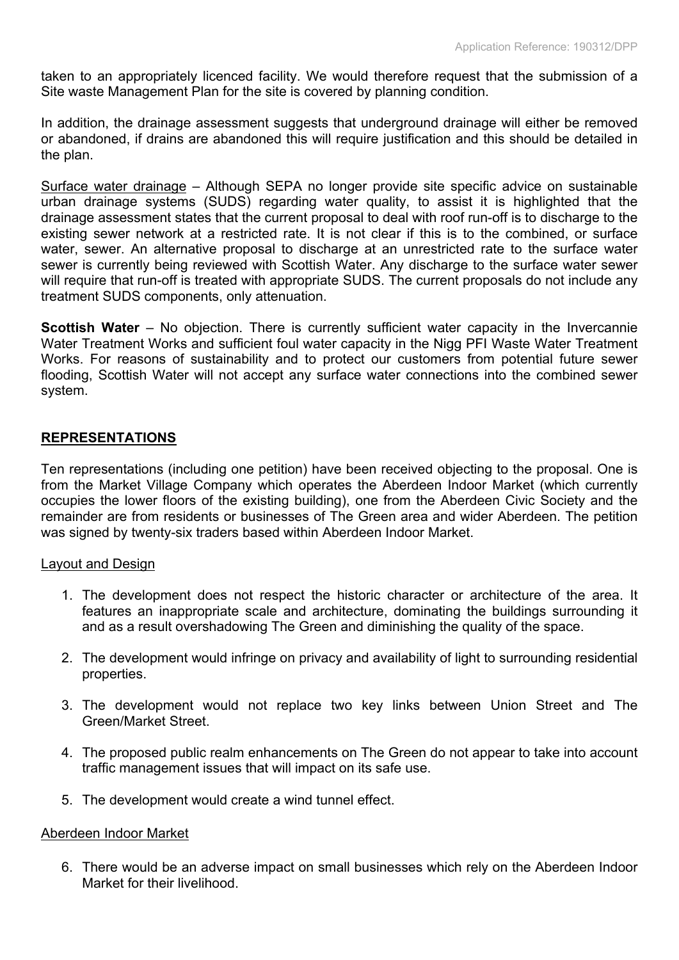taken to an appropriately licenced facility. We would therefore request that the submission of a Site waste Management Plan for the site is covered by planning condition.

In addition, the drainage assessment suggests that underground drainage will either be removed or abandoned, if drains are abandoned this will require justification and this should be detailed in the plan.

Surface water drainage – Although SEPA no longer provide site specific advice on sustainable urban drainage systems (SUDS) regarding water quality, to assist it is highlighted that the drainage assessment states that the current proposal to deal with roof run-off is to discharge to the existing sewer network at a restricted rate. It is not clear if this is to the combined, or surface water, sewer. An alternative proposal to discharge at an unrestricted rate to the surface water sewer is currently being reviewed with Scottish Water. Any discharge to the surface water sewer will require that run-off is treated with appropriate SUDS. The current proposals do not include any treatment SUDS components, only attenuation.

**Scottish Water** – No objection. There is currently sufficient water capacity in the Invercannie Water Treatment Works and sufficient foul water capacity in the Nigg PFI Waste Water Treatment Works. For reasons of sustainability and to protect our customers from potential future sewer flooding, Scottish Water will not accept any surface water connections into the combined sewer system.

## **REPRESENTATIONS**

Ten representations (including one petition) have been received objecting to the proposal. One is from the Market Village Company which operates the Aberdeen Indoor Market (which currently occupies the lower floors of the existing building), one from the Aberdeen Civic Society and the remainder are from residents or businesses of The Green area and wider Aberdeen. The petition was signed by twenty-six traders based within Aberdeen Indoor Market.

## Layout and Design

- 1. The development does not respect the historic character or architecture of the area. It features an inappropriate scale and architecture, dominating the buildings surrounding it and as a result overshadowing The Green and diminishing the quality of the space.
- 2. The development would infringe on privacy and availability of light to surrounding residential properties.
- 3. The development would not replace two key links between Union Street and The Green/Market Street.
- 4. The proposed public realm enhancements on The Green do not appear to take into account traffic management issues that will impact on its safe use.
- 5. The development would create a wind tunnel effect.

## Aberdeen Indoor Market

6. There would be an adverse impact on small businesses which rely on the Aberdeen Indoor Market for their livelihood.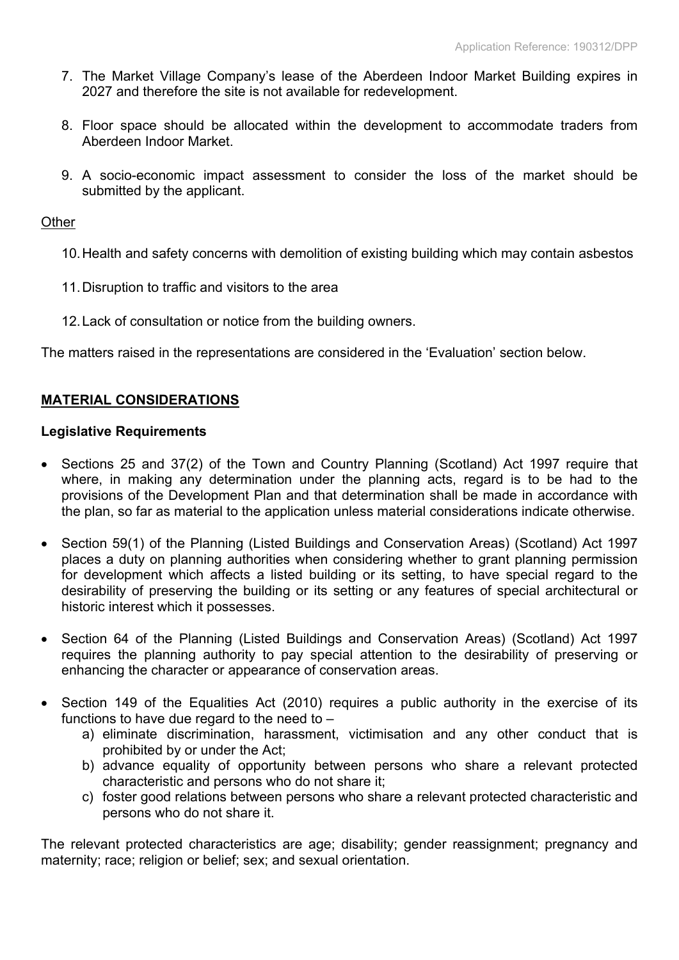- 7. The Market Village Company's lease of the Aberdeen Indoor Market Building expires in 2027 and therefore the site is not available for redevelopment.
- 8. Floor space should be allocated within the development to accommodate traders from Aberdeen Indoor Market.
- 9. A socio-economic impact assessment to consider the loss of the market should be submitted by the applicant.

**Other** 

- 10.Health and safety concerns with demolition of existing building which may contain asbestos
- 11.Disruption to traffic and visitors to the area
- 12.Lack of consultation or notice from the building owners.

The matters raised in the representations are considered in the 'Evaluation' section below.

# **MATERIAL CONSIDERATIONS**

#### **Legislative Requirements**

- Sections 25 and 37(2) of the Town and Country Planning (Scotland) Act 1997 require that where, in making any determination under the planning acts, regard is to be had to the provisions of the Development Plan and that determination shall be made in accordance with the plan, so far as material to the application unless material considerations indicate otherwise.
- Section 59(1) of the Planning (Listed Buildings and Conservation Areas) (Scotland) Act 1997 places a duty on planning authorities when considering whether to grant planning permission for development which affects a listed building or its setting, to have special regard to the desirability of preserving the building or its setting or any features of special architectural or historic interest which it possesses.
- Section 64 of the Planning (Listed Buildings and Conservation Areas) (Scotland) Act 1997 requires the planning authority to pay special attention to the desirability of preserving or enhancing the character or appearance of conservation areas.
- Section 149 of the Equalities Act (2010) requires a public authority in the exercise of its functions to have due regard to the need to  $$ 
	- a) eliminate discrimination, harassment, victimisation and any other conduct that is prohibited by or under the Act;
	- b) advance equality of opportunity between persons who share a relevant protected characteristic and persons who do not share it;
	- c) foster good relations between persons who share a relevant protected characteristic and persons who do not share it.

The relevant protected characteristics are age; disability; gender reassignment; pregnancy and maternity; race; religion or belief; sex; and sexual orientation.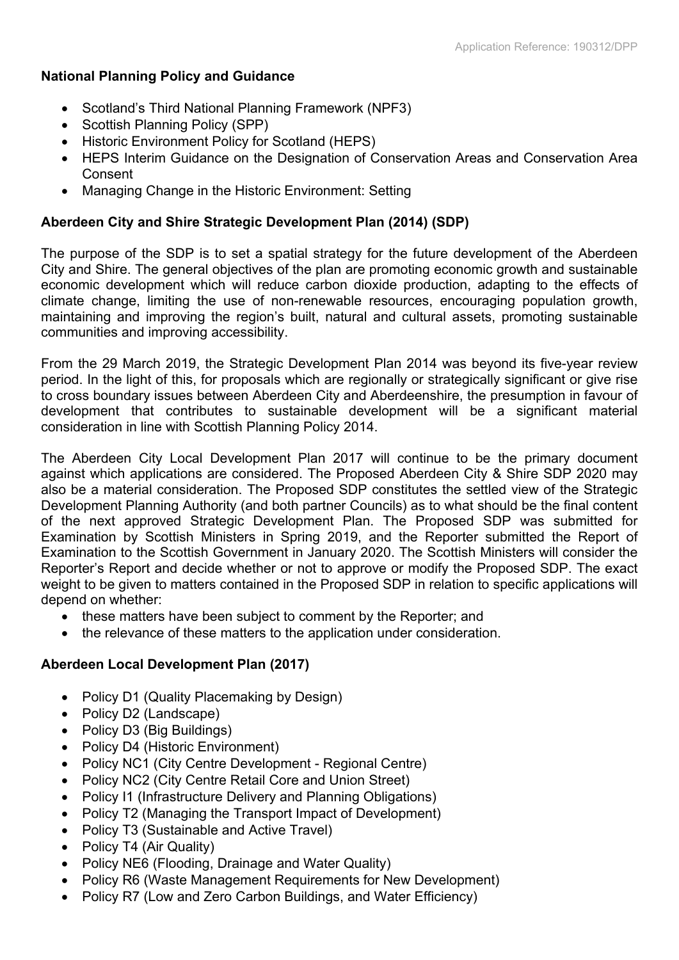## **National Planning Policy and Guidance**

- Scotland's Third National Planning Framework (NPF3)
- Scottish Planning Policy (SPP)
- Historic Environment Policy for Scotland (HEPS)
- HEPS Interim Guidance on the Designation of Conservation Areas and Conservation Area Consent
- Managing Change in the Historic Environment: Setting

## **Aberdeen City and Shire Strategic Development Plan (2014) (SDP)**

The purpose of the SDP is to set a spatial strategy for the future development of the Aberdeen City and Shire. The general objectives of the plan are promoting economic growth and sustainable economic development which will reduce carbon dioxide production, adapting to the effects of climate change, limiting the use of non-renewable resources, encouraging population growth, maintaining and improving the region's built, natural and cultural assets, promoting sustainable communities and improving accessibility.

From the 29 March 2019, the Strategic Development Plan 2014 was beyond its five-year review period. In the light of this, for proposals which are regionally or strategically significant or give rise to cross boundary issues between Aberdeen City and Aberdeenshire, the presumption in favour of development that contributes to sustainable development will be a significant material consideration in line with Scottish Planning Policy 2014.

The Aberdeen City Local Development Plan 2017 will continue to be the primary document against which applications are considered. The Proposed Aberdeen City & Shire SDP 2020 may also be a material consideration. The Proposed SDP constitutes the settled view of the Strategic Development Planning Authority (and both partner Councils) as to what should be the final content of the next approved Strategic Development Plan. The Proposed SDP was submitted for Examination by Scottish Ministers in Spring 2019, and the Reporter submitted the Report of Examination to the Scottish Government in January 2020. The Scottish Ministers will consider the Reporter's Report and decide whether or not to approve or modify the Proposed SDP. The exact weight to be given to matters contained in the Proposed SDP in relation to specific applications will depend on whether:

- these matters have been subject to comment by the Reporter; and
- the relevance of these matters to the application under consideration.

## **Aberdeen Local Development Plan (2017)**

- Policy D1 (Quality Placemaking by Design)
- Policy D2 (Landscape)
- Policy D3 (Big Buildings)
- Policy D4 (Historic Environment)
- Policy NC1 (City Centre Development Regional Centre)
- Policy NC2 (City Centre Retail Core and Union Street)
- Policy I1 (Infrastructure Delivery and Planning Obligations)
- Policy T2 (Managing the Transport Impact of Development)
- Policy T3 (Sustainable and Active Travel)
- Policy T4 (Air Quality)
- Policy NE6 (Flooding, Drainage and Water Quality)
- Policy R6 (Waste Management Requirements for New Development)
- Policy R7 (Low and Zero Carbon Buildings, and Water Efficiency)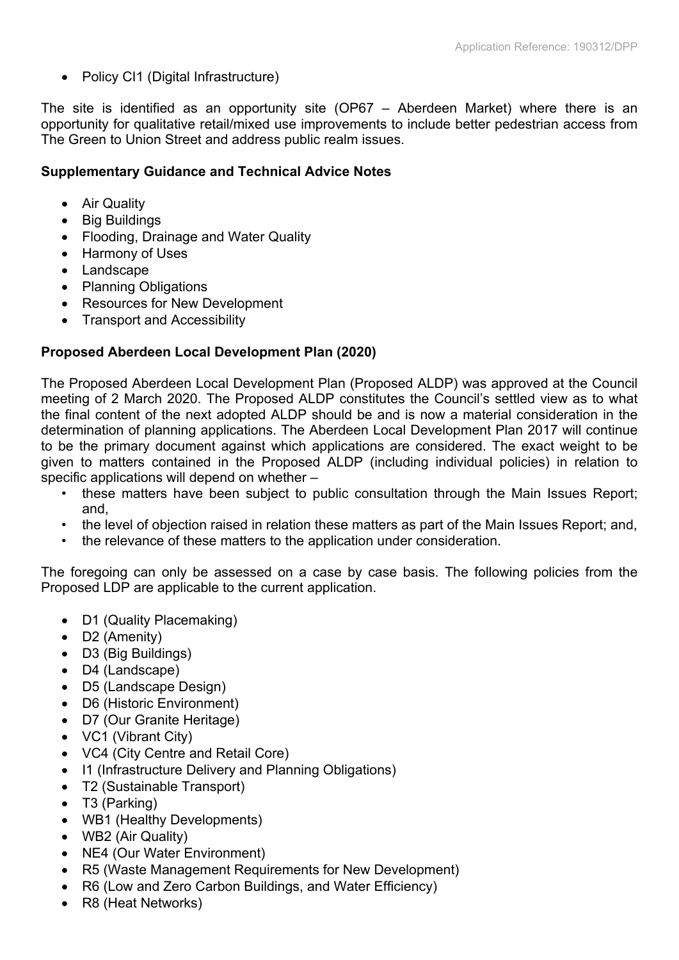• Policy CI1 (Digital Infrastructure)

The site is identified as an opportunity site (OP67 – Aberdeen Market) where there is an opportunity for qualitative retail/mixed use improvements to include better pedestrian access from The Green to Union Street and address public realm issues.

# **Supplementary Guidance and Technical Advice Notes**

- Air Quality
- Big Buildings
- Flooding, Drainage and Water Quality
- Harmony of Uses
- Landscape
- Planning Obligations
- Resources for New Development
- Transport and Accessibility

# **Proposed Aberdeen Local Development Plan (2020)**

The Proposed Aberdeen Local Development Plan (Proposed ALDP) was approved at the Council meeting of 2 March 2020. The Proposed ALDP constitutes the Council's settled view as to what the final content of the next adopted ALDP should be and is now a material consideration in the determination of planning applications. The Aberdeen Local Development Plan 2017 will continue to be the primary document against which applications are considered. The exact weight to be given to matters contained in the Proposed ALDP (including individual policies) in relation to specific applications will depend on whether –

- these matters have been subject to public consultation through the Main Issues Report; and,
- the level of objection raised in relation these matters as part of the Main Issues Report; and,
- the relevance of these matters to the application under consideration.

The foregoing can only be assessed on a case by case basis. The following policies from the Proposed LDP are applicable to the current application.

- D1 (Quality Placemaking)
- D2 (Amenity)
- D3 (Big Buildings)
- D4 (Landscape)
- D5 (Landscape Design)
- D6 (Historic Environment)
- D7 (Our Granite Heritage)
- VC1 (Vibrant City)
- VC4 (City Centre and Retail Core)
- I1 (Infrastructure Delivery and Planning Obligations)
- T2 (Sustainable Transport)
- T3 (Parking)
- WB1 (Healthy Developments)
- WB2 (Air Quality)
- NE4 (Our Water Environment)
- R5 (Waste Management Requirements for New Development)
- R6 (Low and Zero Carbon Buildings, and Water Efficiency)
- R8 (Heat Networks)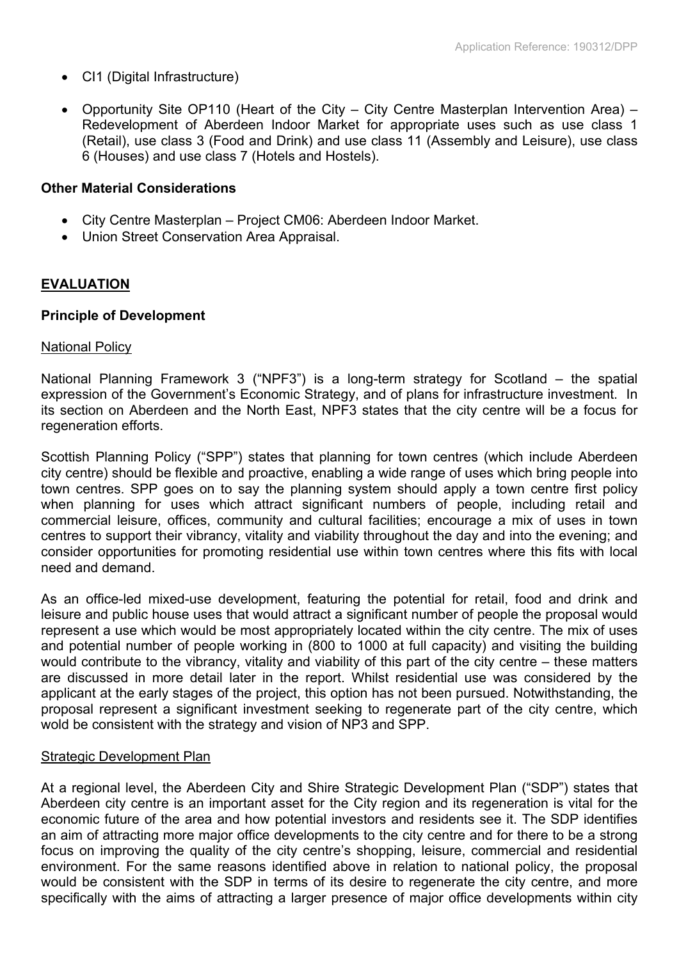- CI1 (Digital Infrastructure)
- Opportunity Site OP110 (Heart of the City City Centre Masterplan Intervention Area) Redevelopment of Aberdeen Indoor Market for appropriate uses such as use class 1 (Retail), use class 3 (Food and Drink) and use class 11 (Assembly and Leisure), use class 6 (Houses) and use class 7 (Hotels and Hostels).

#### **Other Material Considerations**

- City Centre Masterplan Project CM06: Aberdeen Indoor Market.
- Union Street Conservation Area Appraisal.

## **EVALUATION**

#### **Principle of Development**

#### National Policy

National Planning Framework 3 ("NPF3") is a long-term strategy for Scotland – the spatial expression of the Government's Economic Strategy, and of plans for infrastructure investment. In its section on Aberdeen and the North East, NPF3 states that the city centre will be a focus for regeneration efforts.

Scottish Planning Policy ("SPP") states that planning for town centres (which include Aberdeen city centre) should be flexible and proactive, enabling a wide range of uses which bring people into town centres. SPP goes on to say the planning system should apply a town centre first policy when planning for uses which attract significant numbers of people, including retail and commercial leisure, offices, community and cultural facilities; encourage a mix of uses in town centres to support their vibrancy, vitality and viability throughout the day and into the evening; and consider opportunities for promoting residential use within town centres where this fits with local need and demand.

As an office-led mixed-use development, featuring the potential for retail, food and drink and leisure and public house uses that would attract a significant number of people the proposal would represent a use which would be most appropriately located within the city centre. The mix of uses and potential number of people working in (800 to 1000 at full capacity) and visiting the building would contribute to the vibrancy, vitality and viability of this part of the city centre – these matters are discussed in more detail later in the report. Whilst residential use was considered by the applicant at the early stages of the project, this option has not been pursued. Notwithstanding, the proposal represent a significant investment seeking to regenerate part of the city centre, which wold be consistent with the strategy and vision of NP3 and SPP.

## Strategic Development Plan

At a regional level, the Aberdeen City and Shire Strategic Development Plan ("SDP") states that Aberdeen city centre is an important asset for the City region and its regeneration is vital for the economic future of the area and how potential investors and residents see it. The SDP identifies an aim of attracting more major office developments to the city centre and for there to be a strong focus on improving the quality of the city centre's shopping, leisure, commercial and residential environment. For the same reasons identified above in relation to national policy, the proposal would be consistent with the SDP in terms of its desire to regenerate the city centre, and more specifically with the aims of attracting a larger presence of major office developments within city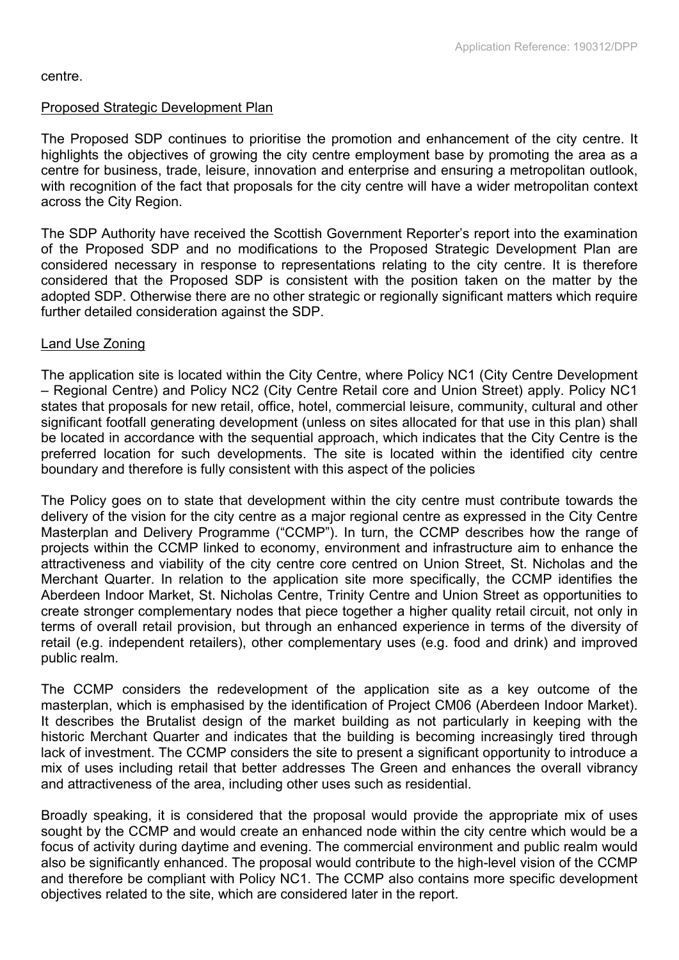#### centre.

#### Proposed Strategic Development Plan

The Proposed SDP continues to prioritise the promotion and enhancement of the city centre. It highlights the objectives of growing the city centre employment base by promoting the area as a centre for business, trade, leisure, innovation and enterprise and ensuring a metropolitan outlook, with recognition of the fact that proposals for the city centre will have a wider metropolitan context across the City Region.

The SDP Authority have received the Scottish Government Reporter's report into the examination of the Proposed SDP and no modifications to the Proposed Strategic Development Plan are considered necessary in response to representations relating to the city centre. It is therefore considered that the Proposed SDP is consistent with the position taken on the matter by the adopted SDP. Otherwise there are no other strategic or regionally significant matters which require further detailed consideration against the SDP.

#### Land Use Zoning

The application site is located within the City Centre, where Policy NC1 (City Centre Development – Regional Centre) and Policy NC2 (City Centre Retail core and Union Street) apply. Policy NC1 states that proposals for new retail, office, hotel, commercial leisure, community, cultural and other significant footfall generating development (unless on sites allocated for that use in this plan) shall be located in accordance with the sequential approach, which indicates that the City Centre is the preferred location for such developments. The site is located within the identified city centre boundary and therefore is fully consistent with this aspect of the policies

The Policy goes on to state that development within the city centre must contribute towards the delivery of the vision for the city centre as a major regional centre as expressed in the City Centre Masterplan and Delivery Programme ("CCMP"). In turn, the CCMP describes how the range of projects within the CCMP linked to economy, environment and infrastructure aim to enhance the attractiveness and viability of the city centre core centred on Union Street, St. Nicholas and the Merchant Quarter. In relation to the application site more specifically, the CCMP identifies the Aberdeen Indoor Market, St. Nicholas Centre, Trinity Centre and Union Street as opportunities to create stronger complementary nodes that piece together a higher quality retail circuit, not only in terms of overall retail provision, but through an enhanced experience in terms of the diversity of retail (e.g. independent retailers), other complementary uses (e.g. food and drink) and improved public realm.

The CCMP considers the redevelopment of the application site as a key outcome of the masterplan, which is emphasised by the identification of Project CM06 (Aberdeen Indoor Market). It describes the Brutalist design of the market building as not particularly in keeping with the historic Merchant Quarter and indicates that the building is becoming increasingly tired through lack of investment. The CCMP considers the site to present a significant opportunity to introduce a mix of uses including retail that better addresses The Green and enhances the overall vibrancy and attractiveness of the area, including other uses such as residential.

Broadly speaking, it is considered that the proposal would provide the appropriate mix of uses sought by the CCMP and would create an enhanced node within the city centre which would be a focus of activity during daytime and evening. The commercial environment and public realm would also be significantly enhanced. The proposal would contribute to the high-level vision of the CCMP and therefore be compliant with Policy NC1. The CCMP also contains more specific development objectives related to the site, which are considered later in the report.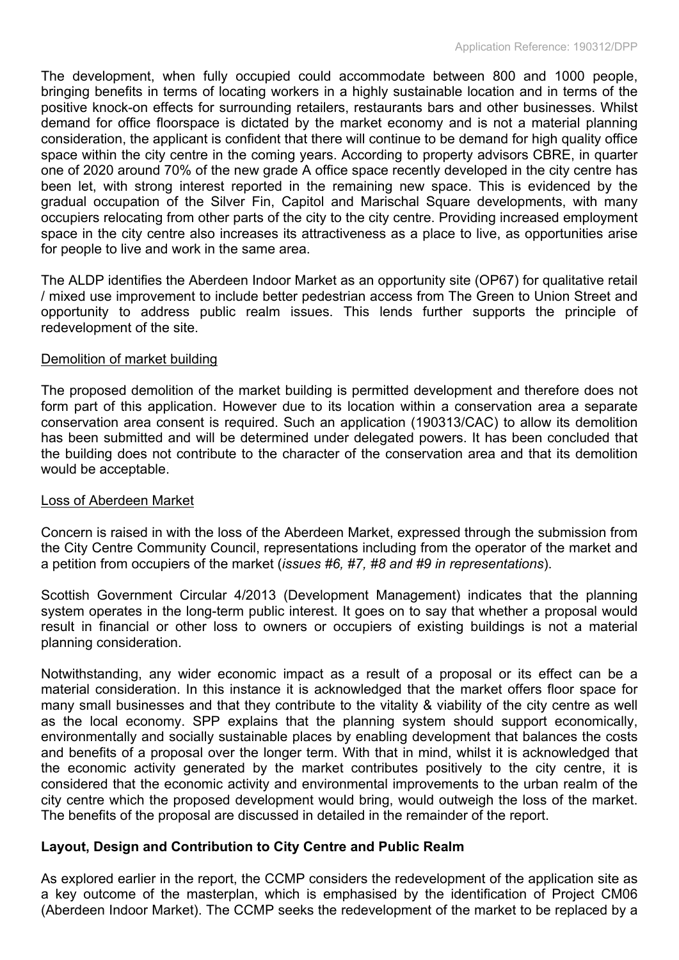The development, when fully occupied could accommodate between 800 and 1000 people, bringing benefits in terms of locating workers in a highly sustainable location and in terms of the positive knock-on effects for surrounding retailers, restaurants bars and other businesses. Whilst demand for office floorspace is dictated by the market economy and is not a material planning consideration, the applicant is confident that there will continue to be demand for high quality office space within the city centre in the coming years. According to property advisors CBRE, in quarter one of 2020 around 70% of the new grade A office space recently developed in the city centre has been let, with strong interest reported in the remaining new space. This is evidenced by the gradual occupation of the Silver Fin, Capitol and Marischal Square developments, with many occupiers relocating from other parts of the city to the city centre. Providing increased employment space in the city centre also increases its attractiveness as a place to live, as opportunities arise for people to live and work in the same area.

The ALDP identifies the Aberdeen Indoor Market as an opportunity site (OP67) for qualitative retail / mixed use improvement to include better pedestrian access from The Green to Union Street and opportunity to address public realm issues. This lends further supports the principle of redevelopment of the site.

#### Demolition of market building

The proposed demolition of the market building is permitted development and therefore does not form part of this application. However due to its location within a conservation area a separate conservation area consent is required. Such an application (190313/CAC) to allow its demolition has been submitted and will be determined under delegated powers. It has been concluded that the building does not contribute to the character of the conservation area and that its demolition would be acceptable.

## Loss of Aberdeen Market

Concern is raised in with the loss of the Aberdeen Market, expressed through the submission from the City Centre Community Council, representations including from the operator of the market and a petition from occupiers of the market (*issues #6, #7, #8 and #9 in representations*).

Scottish Government Circular 4/2013 (Development Management) indicates that the planning system operates in the long-term public interest. It goes on to say that whether a proposal would result in financial or other loss to owners or occupiers of existing buildings is not a material planning consideration.

Notwithstanding, any wider economic impact as a result of a proposal or its effect can be a material consideration. In this instance it is acknowledged that the market offers floor space for many small businesses and that they contribute to the vitality & viability of the city centre as well as the local economy. SPP explains that the planning system should support economically, environmentally and socially sustainable places by enabling development that balances the costs and benefits of a proposal over the longer term. With that in mind, whilst it is acknowledged that the economic activity generated by the market contributes positively to the city centre, it is considered that the economic activity and environmental improvements to the urban realm of the city centre which the proposed development would bring, would outweigh the loss of the market. The benefits of the proposal are discussed in detailed in the remainder of the report.

## **Layout, Design and Contribution to City Centre and Public Realm**

As explored earlier in the report, the CCMP considers the redevelopment of the application site as a key outcome of the masterplan, which is emphasised by the identification of Project CM06 (Aberdeen Indoor Market). The CCMP seeks the redevelopment of the market to be replaced by a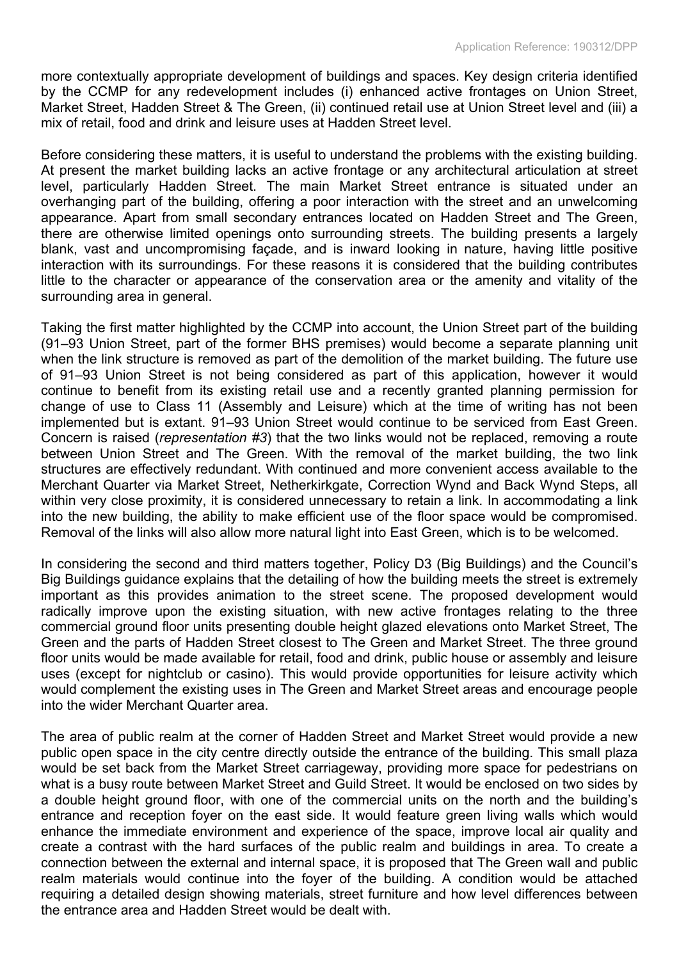more contextually appropriate development of buildings and spaces. Key design criteria identified by the CCMP for any redevelopment includes (i) enhanced active frontages on Union Street, Market Street, Hadden Street & The Green, (ii) continued retail use at Union Street level and (iii) a mix of retail, food and drink and leisure uses at Hadden Street level.

Before considering these matters, it is useful to understand the problems with the existing building. At present the market building lacks an active frontage or any architectural articulation at street level, particularly Hadden Street. The main Market Street entrance is situated under an overhanging part of the building, offering a poor interaction with the street and an unwelcoming appearance. Apart from small secondary entrances located on Hadden Street and The Green, there are otherwise limited openings onto surrounding streets. The building presents a largely blank, vast and uncompromising façade, and is inward looking in nature, having little positive interaction with its surroundings. For these reasons it is considered that the building contributes little to the character or appearance of the conservation area or the amenity and vitality of the surrounding area in general.

Taking the first matter highlighted by the CCMP into account, the Union Street part of the building (91–93 Union Street, part of the former BHS premises) would become a separate planning unit when the link structure is removed as part of the demolition of the market building. The future use of 91–93 Union Street is not being considered as part of this application, however it would continue to benefit from its existing retail use and a recently granted planning permission for change of use to Class 11 (Assembly and Leisure) which at the time of writing has not been implemented but is extant. 91–93 Union Street would continue to be serviced from East Green. Concern is raised (*representation #3*) that the two links would not be replaced, removing a route between Union Street and The Green. With the removal of the market building, the two link structures are effectively redundant. With continued and more convenient access available to the Merchant Quarter via Market Street, Netherkirkgate, Correction Wynd and Back Wynd Steps, all within very close proximity, it is considered unnecessary to retain a link. In accommodating a link into the new building, the ability to make efficient use of the floor space would be compromised. Removal of the links will also allow more natural light into East Green, which is to be welcomed.

In considering the second and third matters together, Policy D3 (Big Buildings) and the Council's Big Buildings guidance explains that the detailing of how the building meets the street is extremely important as this provides animation to the street scene. The proposed development would radically improve upon the existing situation, with new active frontages relating to the three commercial ground floor units presenting double height glazed elevations onto Market Street, The Green and the parts of Hadden Street closest to The Green and Market Street. The three ground floor units would be made available for retail, food and drink, public house or assembly and leisure uses (except for nightclub or casino). This would provide opportunities for leisure activity which would complement the existing uses in The Green and Market Street areas and encourage people into the wider Merchant Quarter area.

The area of public realm at the corner of Hadden Street and Market Street would provide a new public open space in the city centre directly outside the entrance of the building. This small plaza would be set back from the Market Street carriageway, providing more space for pedestrians on what is a busy route between Market Street and Guild Street. It would be enclosed on two sides by a double height ground floor, with one of the commercial units on the north and the building's entrance and reception foyer on the east side. It would feature green living walls which would enhance the immediate environment and experience of the space, improve local air quality and create a contrast with the hard surfaces of the public realm and buildings in area. To create a connection between the external and internal space, it is proposed that The Green wall and public realm materials would continue into the foyer of the building. A condition would be attached requiring a detailed design showing materials, street furniture and how level differences between the entrance area and Hadden Street would be dealt with.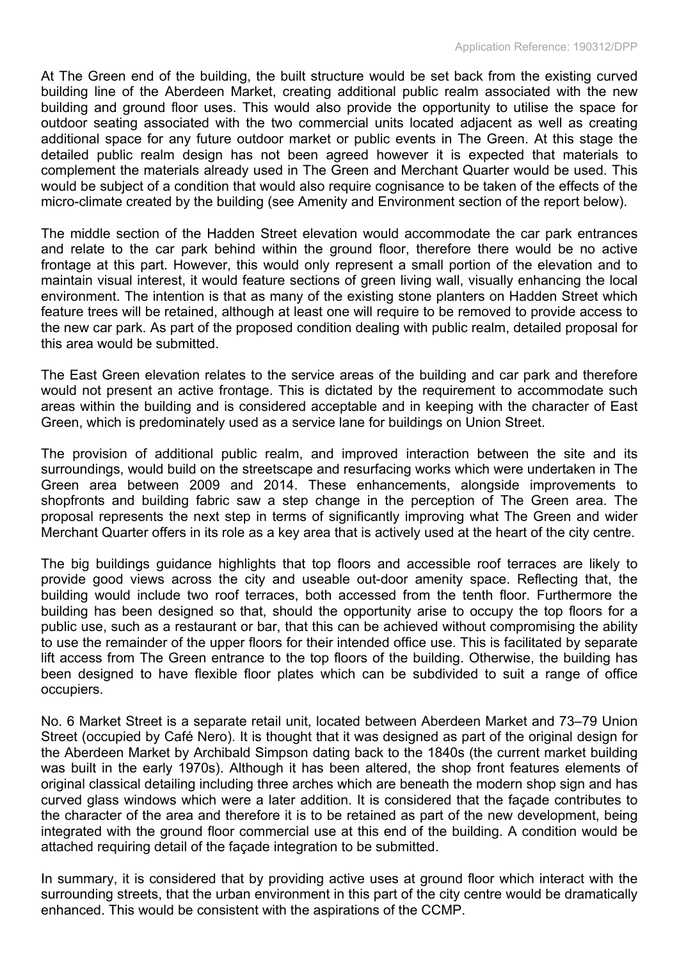At The Green end of the building, the built structure would be set back from the existing curved building line of the Aberdeen Market, creating additional public realm associated with the new building and ground floor uses. This would also provide the opportunity to utilise the space for outdoor seating associated with the two commercial units located adjacent as well as creating additional space for any future outdoor market or public events in The Green. At this stage the detailed public realm design has not been agreed however it is expected that materials to complement the materials already used in The Green and Merchant Quarter would be used. This would be subject of a condition that would also require cognisance to be taken of the effects of the micro-climate created by the building (see Amenity and Environment section of the report below).

The middle section of the Hadden Street elevation would accommodate the car park entrances and relate to the car park behind within the ground floor, therefore there would be no active frontage at this part. However, this would only represent a small portion of the elevation and to maintain visual interest, it would feature sections of green living wall, visually enhancing the local environment. The intention is that as many of the existing stone planters on Hadden Street which feature trees will be retained, although at least one will require to be removed to provide access to the new car park. As part of the proposed condition dealing with public realm, detailed proposal for this area would be submitted.

The East Green elevation relates to the service areas of the building and car park and therefore would not present an active frontage. This is dictated by the requirement to accommodate such areas within the building and is considered acceptable and in keeping with the character of East Green, which is predominately used as a service lane for buildings on Union Street.

The provision of additional public realm, and improved interaction between the site and its surroundings, would build on the streetscape and resurfacing works which were undertaken in The Green area between 2009 and 2014. These enhancements, alongside improvements to shopfronts and building fabric saw a step change in the perception of The Green area. The proposal represents the next step in terms of significantly improving what The Green and wider Merchant Quarter offers in its role as a key area that is actively used at the heart of the city centre.

The big buildings guidance highlights that top floors and accessible roof terraces are likely to provide good views across the city and useable out-door amenity space. Reflecting that, the building would include two roof terraces, both accessed from the tenth floor. Furthermore the building has been designed so that, should the opportunity arise to occupy the top floors for a public use, such as a restaurant or bar, that this can be achieved without compromising the ability to use the remainder of the upper floors for their intended office use. This is facilitated by separate lift access from The Green entrance to the top floors of the building. Otherwise, the building has been designed to have flexible floor plates which can be subdivided to suit a range of office occupiers.

No. 6 Market Street is a separate retail unit, located between Aberdeen Market and 73–79 Union Street (occupied by Café Nero). It is thought that it was designed as part of the original design for the Aberdeen Market by Archibald Simpson dating back to the 1840s (the current market building was built in the early 1970s). Although it has been altered, the shop front features elements of original classical detailing including three arches which are beneath the modern shop sign and has curved glass windows which were a later addition. It is considered that the façade contributes to the character of the area and therefore it is to be retained as part of the new development, being integrated with the ground floor commercial use at this end of the building. A condition would be attached requiring detail of the façade integration to be submitted.

In summary, it is considered that by providing active uses at ground floor which interact with the surrounding streets, that the urban environment in this part of the city centre would be dramatically enhanced. This would be consistent with the aspirations of the CCMP.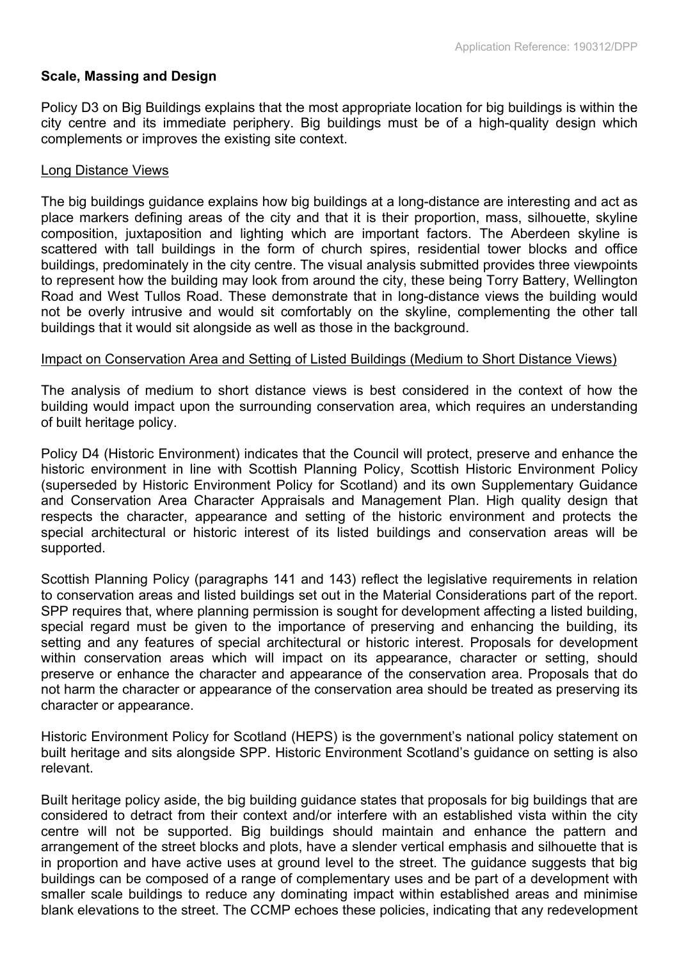#### **Scale, Massing and Design**

Policy D3 on Big Buildings explains that the most appropriate location for big buildings is within the city centre and its immediate periphery. Big buildings must be of a high-quality design which complements or improves the existing site context.

#### Long Distance Views

The big buildings guidance explains how big buildings at a long-distance are interesting and act as place markers defining areas of the city and that it is their proportion, mass, silhouette, skyline composition, juxtaposition and lighting which are important factors. The Aberdeen skyline is scattered with tall buildings in the form of church spires, residential tower blocks and office buildings, predominately in the city centre. The visual analysis submitted provides three viewpoints to represent how the building may look from around the city, these being Torry Battery, Wellington Road and West Tullos Road. These demonstrate that in long-distance views the building would not be overly intrusive and would sit comfortably on the skyline, complementing the other tall buildings that it would sit alongside as well as those in the background.

#### Impact on Conservation Area and Setting of Listed Buildings (Medium to Short Distance Views)

The analysis of medium to short distance views is best considered in the context of how the building would impact upon the surrounding conservation area, which requires an understanding of built heritage policy.

Policy D4 (Historic Environment) indicates that the Council will protect, preserve and enhance the historic environment in line with Scottish Planning Policy, Scottish Historic Environment Policy (superseded by Historic Environment Policy for Scotland) and its own Supplementary Guidance and Conservation Area Character Appraisals and Management Plan. High quality design that respects the character, appearance and setting of the historic environment and protects the special architectural or historic interest of its listed buildings and conservation areas will be supported.

Scottish Planning Policy (paragraphs 141 and 143) reflect the legislative requirements in relation to conservation areas and listed buildings set out in the Material Considerations part of the report. SPP requires that, where planning permission is sought for development affecting a listed building, special regard must be given to the importance of preserving and enhancing the building, its setting and any features of special architectural or historic interest. Proposals for development within conservation areas which will impact on its appearance, character or setting, should preserve or enhance the character and appearance of the conservation area. Proposals that do not harm the character or appearance of the conservation area should be treated as preserving its character or appearance.

Historic Environment Policy for Scotland (HEPS) is the government's national policy statement on built heritage and sits alongside SPP. Historic Environment Scotland's guidance on setting is also relevant.

Built heritage policy aside, the big building guidance states that proposals for big buildings that are considered to detract from their context and/or interfere with an established vista within the city centre will not be supported. Big buildings should maintain and enhance the pattern and arrangement of the street blocks and plots, have a slender vertical emphasis and silhouette that is in proportion and have active uses at ground level to the street. The guidance suggests that big buildings can be composed of a range of complementary uses and be part of a development with smaller scale buildings to reduce any dominating impact within established areas and minimise blank elevations to the street. The CCMP echoes these policies, indicating that any redevelopment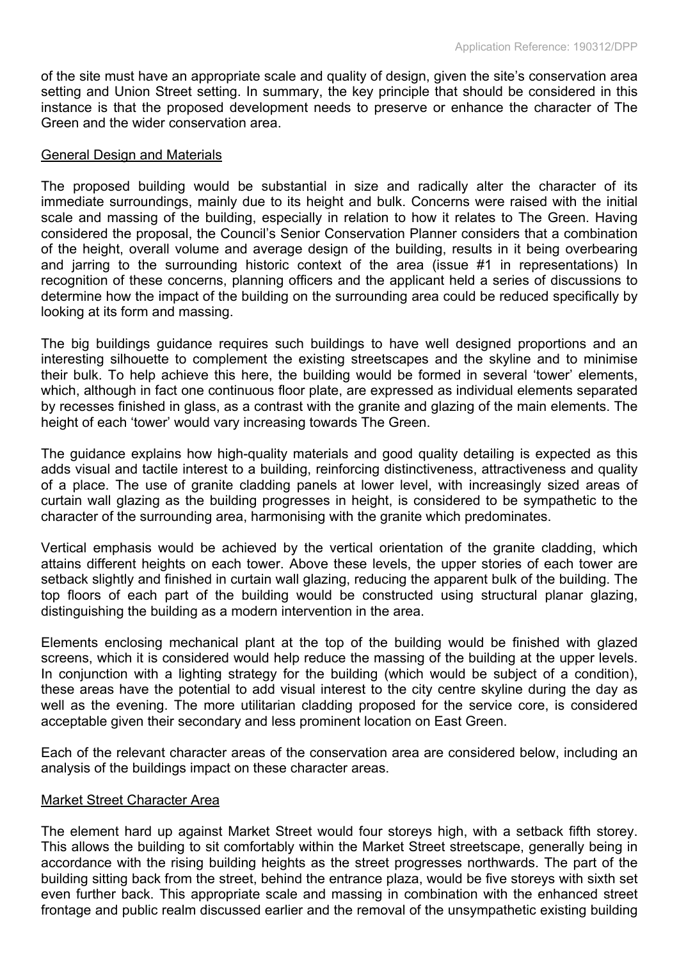of the site must have an appropriate scale and quality of design, given the site's conservation area setting and Union Street setting. In summary, the key principle that should be considered in this instance is that the proposed development needs to preserve or enhance the character of The Green and the wider conservation area.

#### General Design and Materials

The proposed building would be substantial in size and radically alter the character of its immediate surroundings, mainly due to its height and bulk. Concerns were raised with the initial scale and massing of the building, especially in relation to how it relates to The Green. Having considered the proposal, the Council's Senior Conservation Planner considers that a combination of the height, overall volume and average design of the building, results in it being overbearing and jarring to the surrounding historic context of the area (issue #1 in representations) In recognition of these concerns, planning officers and the applicant held a series of discussions to determine how the impact of the building on the surrounding area could be reduced specifically by looking at its form and massing.

The big buildings guidance requires such buildings to have well designed proportions and an interesting silhouette to complement the existing streetscapes and the skyline and to minimise their bulk. To help achieve this here, the building would be formed in several 'tower' elements, which, although in fact one continuous floor plate, are expressed as individual elements separated by recesses finished in glass, as a contrast with the granite and glazing of the main elements. The height of each 'tower' would vary increasing towards The Green.

The guidance explains how high-quality materials and good quality detailing is expected as this adds visual and tactile interest to a building, reinforcing distinctiveness, attractiveness and quality of a place. The use of granite cladding panels at lower level, with increasingly sized areas of curtain wall glazing as the building progresses in height, is considered to be sympathetic to the character of the surrounding area, harmonising with the granite which predominates.

Vertical emphasis would be achieved by the vertical orientation of the granite cladding, which attains different heights on each tower. Above these levels, the upper stories of each tower are setback slightly and finished in curtain wall glazing, reducing the apparent bulk of the building. The top floors of each part of the building would be constructed using structural planar glazing, distinguishing the building as a modern intervention in the area.

Elements enclosing mechanical plant at the top of the building would be finished with glazed screens, which it is considered would help reduce the massing of the building at the upper levels. In conjunction with a lighting strategy for the building (which would be subject of a condition), these areas have the potential to add visual interest to the city centre skyline during the day as well as the evening. The more utilitarian cladding proposed for the service core, is considered acceptable given their secondary and less prominent location on East Green.

Each of the relevant character areas of the conservation area are considered below, including an analysis of the buildings impact on these character areas.

#### Market Street Character Area

The element hard up against Market Street would four storeys high, with a setback fifth storey. This allows the building to sit comfortably within the Market Street streetscape, generally being in accordance with the rising building heights as the street progresses northwards. The part of the building sitting back from the street, behind the entrance plaza, would be five storeys with sixth set even further back. This appropriate scale and massing in combination with the enhanced street frontage and public realm discussed earlier and the removal of the unsympathetic existing building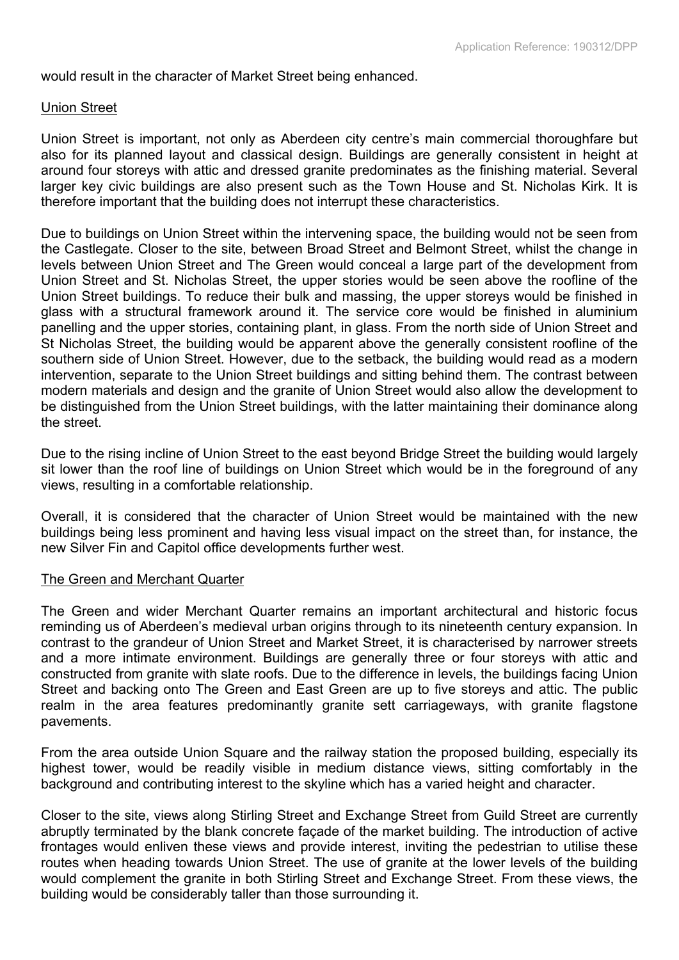would result in the character of Market Street being enhanced.

#### Union Street

Union Street is important, not only as Aberdeen city centre's main commercial thoroughfare but also for its planned layout and classical design. Buildings are generally consistent in height at around four storeys with attic and dressed granite predominates as the finishing material. Several larger key civic buildings are also present such as the Town House and St. Nicholas Kirk. It is therefore important that the building does not interrupt these characteristics.

Due to buildings on Union Street within the intervening space, the building would not be seen from the Castlegate. Closer to the site, between Broad Street and Belmont Street, whilst the change in levels between Union Street and The Green would conceal a large part of the development from Union Street and St. Nicholas Street, the upper stories would be seen above the roofline of the Union Street buildings. To reduce their bulk and massing, the upper storeys would be finished in glass with a structural framework around it. The service core would be finished in aluminium panelling and the upper stories, containing plant, in glass. From the north side of Union Street and St Nicholas Street, the building would be apparent above the generally consistent roofline of the southern side of Union Street. However, due to the setback, the building would read as a modern intervention, separate to the Union Street buildings and sitting behind them. The contrast between modern materials and design and the granite of Union Street would also allow the development to be distinguished from the Union Street buildings, with the latter maintaining their dominance along the street.

Due to the rising incline of Union Street to the east beyond Bridge Street the building would largely sit lower than the roof line of buildings on Union Street which would be in the foreground of any views, resulting in a comfortable relationship.

Overall, it is considered that the character of Union Street would be maintained with the new buildings being less prominent and having less visual impact on the street than, for instance, the new Silver Fin and Capitol office developments further west.

#### The Green and Merchant Quarter

The Green and wider Merchant Quarter remains an important architectural and historic focus reminding us of Aberdeen's medieval urban origins through to its nineteenth century expansion. In contrast to the grandeur of Union Street and Market Street, it is characterised by narrower streets and a more intimate environment. Buildings are generally three or four storeys with attic and constructed from granite with slate roofs. Due to the difference in levels, the buildings facing Union Street and backing onto The Green and East Green are up to five storeys and attic. The public realm in the area features predominantly granite sett carriageways, with granite flagstone pavements.

From the area outside Union Square and the railway station the proposed building, especially its highest tower, would be readily visible in medium distance views, sitting comfortably in the background and contributing interest to the skyline which has a varied height and character.

Closer to the site, views along Stirling Street and Exchange Street from Guild Street are currently abruptly terminated by the blank concrete façade of the market building. The introduction of active frontages would enliven these views and provide interest, inviting the pedestrian to utilise these routes when heading towards Union Street. The use of granite at the lower levels of the building would complement the granite in both Stirling Street and Exchange Street. From these views, the building would be considerably taller than those surrounding it.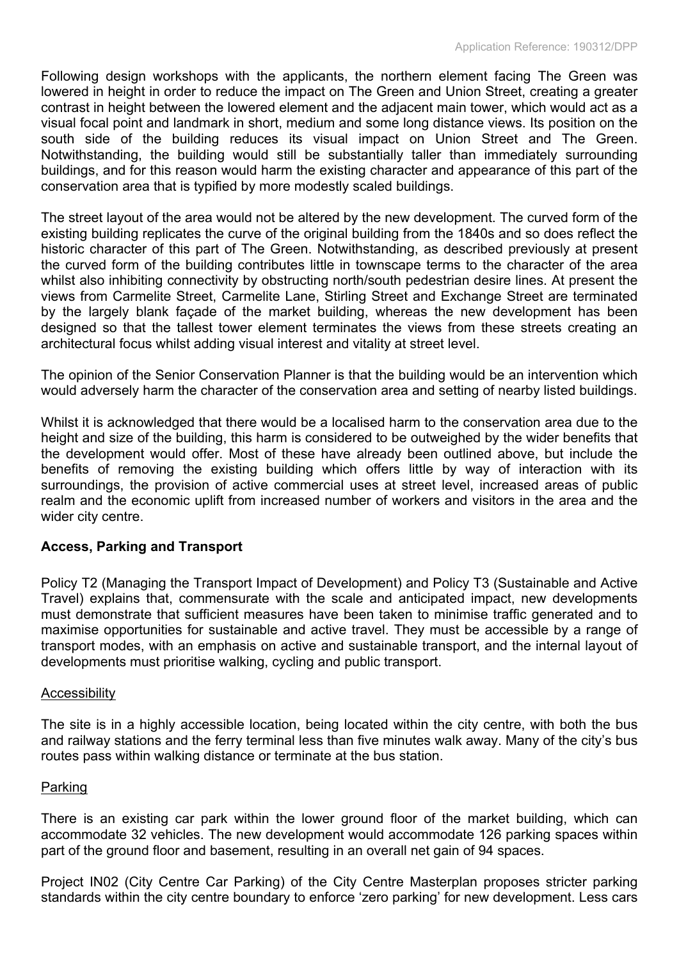Following design workshops with the applicants, the northern element facing The Green was lowered in height in order to reduce the impact on The Green and Union Street, creating a greater contrast in height between the lowered element and the adjacent main tower, which would act as a visual focal point and landmark in short, medium and some long distance views. Its position on the south side of the building reduces its visual impact on Union Street and The Green. Notwithstanding, the building would still be substantially taller than immediately surrounding buildings, and for this reason would harm the existing character and appearance of this part of the conservation area that is typified by more modestly scaled buildings.

The street layout of the area would not be altered by the new development. The curved form of the existing building replicates the curve of the original building from the 1840s and so does reflect the historic character of this part of The Green. Notwithstanding, as described previously at present the curved form of the building contributes little in townscape terms to the character of the area whilst also inhibiting connectivity by obstructing north/south pedestrian desire lines. At present the views from Carmelite Street, Carmelite Lane, Stirling Street and Exchange Street are terminated by the largely blank façade of the market building, whereas the new development has been designed so that the tallest tower element terminates the views from these streets creating an architectural focus whilst adding visual interest and vitality at street level.

The opinion of the Senior Conservation Planner is that the building would be an intervention which would adversely harm the character of the conservation area and setting of nearby listed buildings.

Whilst it is acknowledged that there would be a localised harm to the conservation area due to the height and size of the building, this harm is considered to be outweighed by the wider benefits that the development would offer. Most of these have already been outlined above, but include the benefits of removing the existing building which offers little by way of interaction with its surroundings, the provision of active commercial uses at street level, increased areas of public realm and the economic uplift from increased number of workers and visitors in the area and the wider city centre.

## **Access, Parking and Transport**

Policy T2 (Managing the Transport Impact of Development) and Policy T3 (Sustainable and Active Travel) explains that, commensurate with the scale and anticipated impact, new developments must demonstrate that sufficient measures have been taken to minimise traffic generated and to maximise opportunities for sustainable and active travel. They must be accessible by a range of transport modes, with an emphasis on active and sustainable transport, and the internal layout of developments must prioritise walking, cycling and public transport.

## **Accessibility**

The site is in a highly accessible location, being located within the city centre, with both the bus and railway stations and the ferry terminal less than five minutes walk away. Many of the city's bus routes pass within walking distance or terminate at the bus station.

## Parking

There is an existing car park within the lower ground floor of the market building, which can accommodate 32 vehicles. The new development would accommodate 126 parking spaces within part of the ground floor and basement, resulting in an overall net gain of 94 spaces.

Project IN02 (City Centre Car Parking) of the City Centre Masterplan proposes stricter parking standards within the city centre boundary to enforce 'zero parking' for new development. Less cars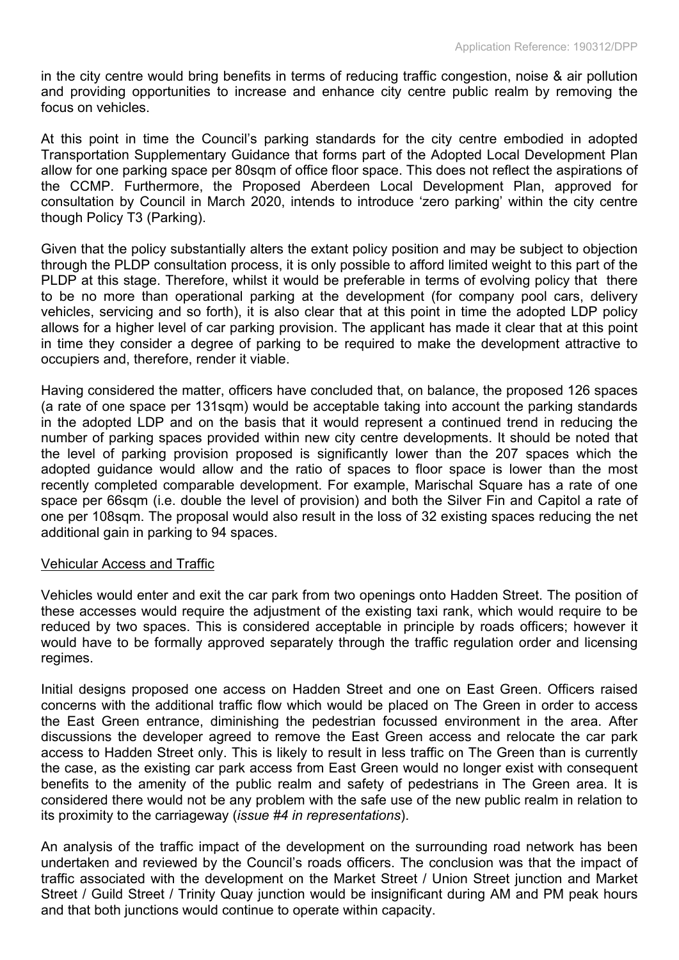in the city centre would bring benefits in terms of reducing traffic congestion, noise & air pollution and providing opportunities to increase and enhance city centre public realm by removing the focus on vehicles.

At this point in time the Council's parking standards for the city centre embodied in adopted Transportation Supplementary Guidance that forms part of the Adopted Local Development Plan allow for one parking space per 80sqm of office floor space. This does not reflect the aspirations of the CCMP. Furthermore, the Proposed Aberdeen Local Development Plan, approved for consultation by Council in March 2020, intends to introduce 'zero parking' within the city centre though Policy T3 (Parking).

Given that the policy substantially alters the extant policy position and may be subject to objection through the PLDP consultation process, it is only possible to afford limited weight to this part of the PLDP at this stage. Therefore, whilst it would be preferable in terms of evolving policy that there to be no more than operational parking at the development (for company pool cars, delivery vehicles, servicing and so forth), it is also clear that at this point in time the adopted LDP policy allows for a higher level of car parking provision. The applicant has made it clear that at this point in time they consider a degree of parking to be required to make the development attractive to occupiers and, therefore, render it viable.

Having considered the matter, officers have concluded that, on balance, the proposed 126 spaces (a rate of one space per 131sqm) would be acceptable taking into account the parking standards in the adopted LDP and on the basis that it would represent a continued trend in reducing the number of parking spaces provided within new city centre developments. It should be noted that the level of parking provision proposed is significantly lower than the 207 spaces which the adopted guidance would allow and the ratio of spaces to floor space is lower than the most recently completed comparable development. For example, Marischal Square has a rate of one space per 66sqm (i.e. double the level of provision) and both the Silver Fin and Capitol a rate of one per 108sqm. The proposal would also result in the loss of 32 existing spaces reducing the net additional gain in parking to 94 spaces.

## Vehicular Access and Traffic

Vehicles would enter and exit the car park from two openings onto Hadden Street. The position of these accesses would require the adjustment of the existing taxi rank, which would require to be reduced by two spaces. This is considered acceptable in principle by roads officers; however it would have to be formally approved separately through the traffic regulation order and licensing regimes.

Initial designs proposed one access on Hadden Street and one on East Green. Officers raised concerns with the additional traffic flow which would be placed on The Green in order to access the East Green entrance, diminishing the pedestrian focussed environment in the area. After discussions the developer agreed to remove the East Green access and relocate the car park access to Hadden Street only. This is likely to result in less traffic on The Green than is currently the case, as the existing car park access from East Green would no longer exist with consequent benefits to the amenity of the public realm and safety of pedestrians in The Green area. It is considered there would not be any problem with the safe use of the new public realm in relation to its proximity to the carriageway (*issue #4 in representations*).

An analysis of the traffic impact of the development on the surrounding road network has been undertaken and reviewed by the Council's roads officers. The conclusion was that the impact of traffic associated with the development on the Market Street / Union Street junction and Market Street / Guild Street / Trinity Quay junction would be insignificant during AM and PM peak hours and that both junctions would continue to operate within capacity.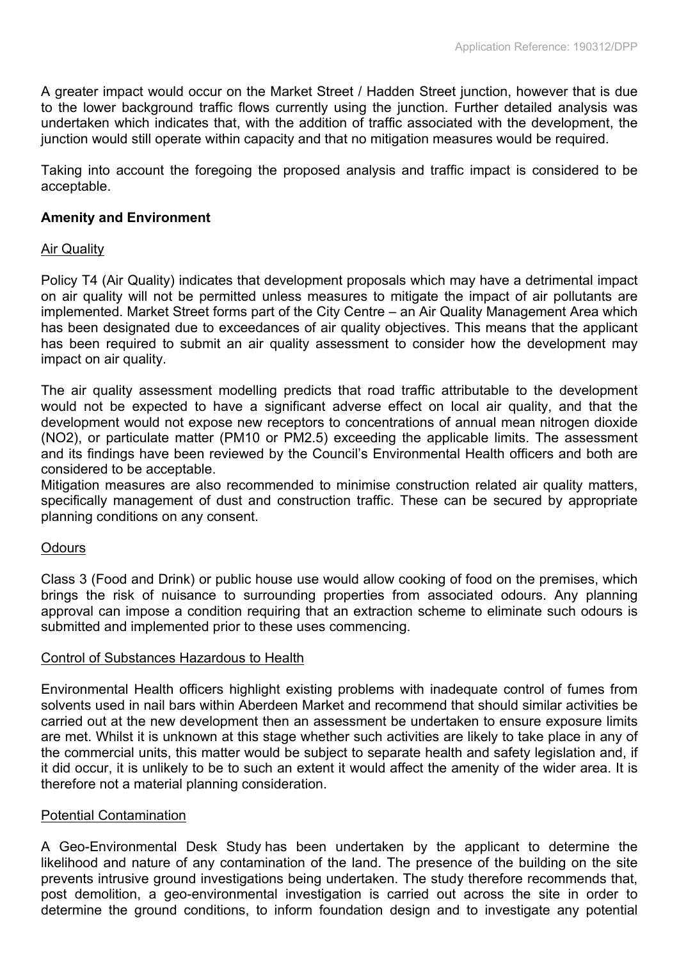A greater impact would occur on the Market Street / Hadden Street junction, however that is due to the lower background traffic flows currently using the junction. Further detailed analysis was undertaken which indicates that, with the addition of traffic associated with the development, the junction would still operate within capacity and that no mitigation measures would be required.

Taking into account the foregoing the proposed analysis and traffic impact is considered to be acceptable.

## **Amenity and Environment**

## Air Quality

Policy T4 (Air Quality) indicates that development proposals which may have a detrimental impact on air quality will not be permitted unless measures to mitigate the impact of air pollutants are implemented. Market Street forms part of the City Centre – an Air Quality Management Area which has been designated due to exceedances of air quality objectives. This means that the applicant has been required to submit an air quality assessment to consider how the development may impact on air quality.

The air quality assessment modelling predicts that road traffic attributable to the development would not be expected to have a significant adverse effect on local air quality, and that the development would not expose new receptors to concentrations of annual mean nitrogen dioxide (NO2), or particulate matter (PM10 or PM2.5) exceeding the applicable limits. The assessment and its findings have been reviewed by the Council's Environmental Health officers and both are considered to be acceptable.

Mitigation measures are also recommended to minimise construction related air quality matters, specifically management of dust and construction traffic. These can be secured by appropriate planning conditions on any consent.

## **Odours**

Class 3 (Food and Drink) or public house use would allow cooking of food on the premises, which brings the risk of nuisance to surrounding properties from associated odours. Any planning approval can impose a condition requiring that an extraction scheme to eliminate such odours is submitted and implemented prior to these uses commencing.

## Control of Substances Hazardous to Health

Environmental Health officers highlight existing problems with inadequate control of fumes from solvents used in nail bars within Aberdeen Market and recommend that should similar activities be carried out at the new development then an assessment be undertaken to ensure exposure limits are met. Whilst it is unknown at this stage whether such activities are likely to take place in any of the commercial units, this matter would be subject to separate health and safety legislation and, if it did occur, it is unlikely to be to such an extent it would affect the amenity of the wider area. It is therefore not a material planning consideration.

## Potential Contamination

A Geo-Environmental Desk Study has been undertaken by the applicant to determine the likelihood and nature of any contamination of the land. The presence of the building on the site prevents intrusive ground investigations being undertaken. The study therefore recommends that, post demolition, a geo-environmental investigation is carried out across the site in order to determine the ground conditions, to inform foundation design and to investigate any potential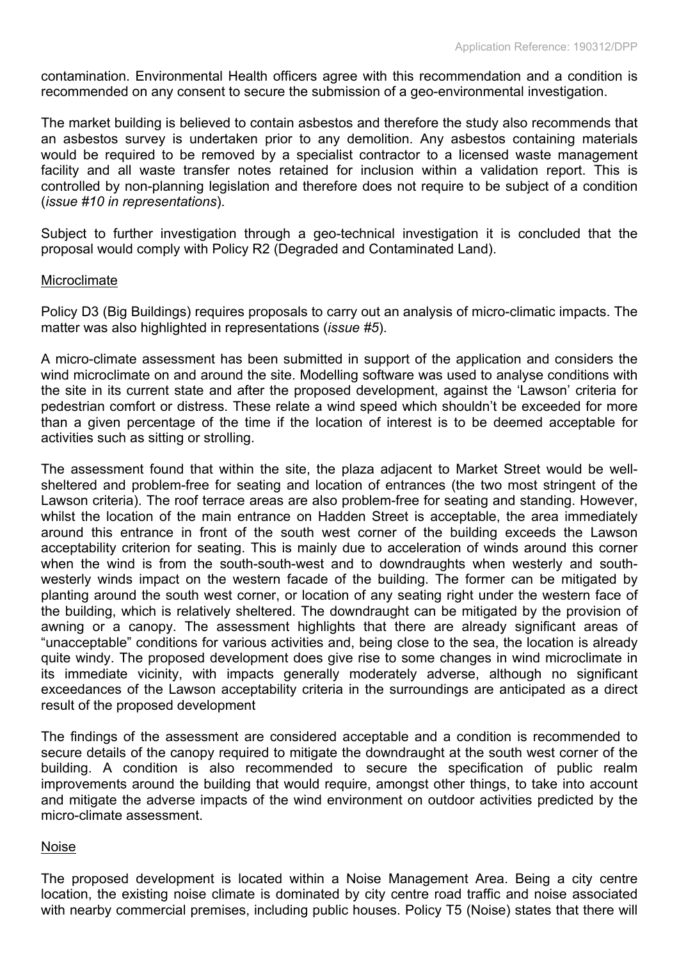contamination. Environmental Health officers agree with this recommendation and a condition is recommended on any consent to secure the submission of a geo-environmental investigation.

The market building is believed to contain asbestos and therefore the study also recommends that an asbestos survey is undertaken prior to any demolition. Any asbestos containing materials would be required to be removed by a specialist contractor to a licensed waste management facility and all waste transfer notes retained for inclusion within a validation report. This is controlled by non-planning legislation and therefore does not require to be subject of a condition (*issue #10 in representations*).

Subject to further investigation through a geo-technical investigation it is concluded that the proposal would comply with Policy R2 (Degraded and Contaminated Land).

#### Microclimate

Policy D3 (Big Buildings) requires proposals to carry out an analysis of micro-climatic impacts. The matter was also highlighted in representations (*issue #5*).

A micro-climate assessment has been submitted in support of the application and considers the wind microclimate on and around the site. Modelling software was used to analyse conditions with the site in its current state and after the proposed development, against the 'Lawson' criteria for pedestrian comfort or distress. These relate a wind speed which shouldn't be exceeded for more than a given percentage of the time if the location of interest is to be deemed acceptable for activities such as sitting or strolling.

The assessment found that within the site, the plaza adjacent to Market Street would be wellsheltered and problem-free for seating and location of entrances (the two most stringent of the Lawson criteria). The roof terrace areas are also problem-free for seating and standing. However, whilst the location of the main entrance on Hadden Street is acceptable, the area immediately around this entrance in front of the south west corner of the building exceeds the Lawson acceptability criterion for seating. This is mainly due to acceleration of winds around this corner when the wind is from the south-south-west and to downdraughts when westerly and southwesterly winds impact on the western facade of the building. The former can be mitigated by planting around the south west corner, or location of any seating right under the western face of the building, which is relatively sheltered. The downdraught can be mitigated by the provision of awning or a canopy. The assessment highlights that there are already significant areas of "unacceptable" conditions for various activities and, being close to the sea, the location is already quite windy. The proposed development does give rise to some changes in wind microclimate in its immediate vicinity, with impacts generally moderately adverse, although no significant exceedances of the Lawson acceptability criteria in the surroundings are anticipated as a direct result of the proposed development

The findings of the assessment are considered acceptable and a condition is recommended to secure details of the canopy required to mitigate the downdraught at the south west corner of the building. A condition is also recommended to secure the specification of public realm improvements around the building that would require, amongst other things, to take into account and mitigate the adverse impacts of the wind environment on outdoor activities predicted by the micro-climate assessment.

## Noise

The proposed development is located within a Noise Management Area. Being a city centre location, the existing noise climate is dominated by city centre road traffic and noise associated with nearby commercial premises, including public houses. Policy T5 (Noise) states that there will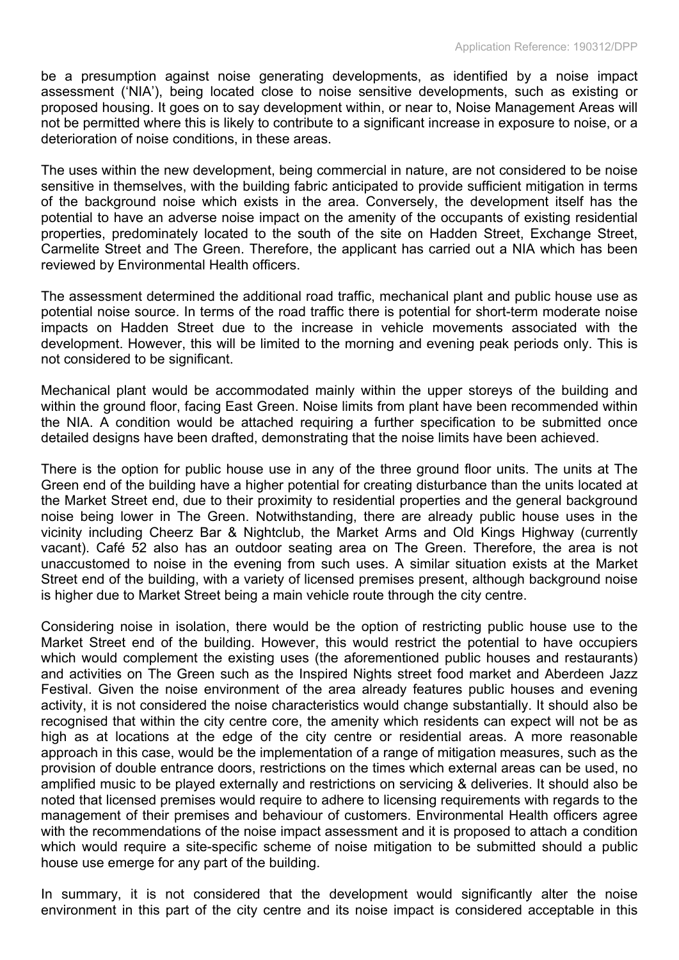be a presumption against noise generating developments, as identified by a noise impact assessment ('NIA'), being located close to noise sensitive developments, such as existing or proposed housing. It goes on to say development within, or near to, Noise Management Areas will not be permitted where this is likely to contribute to a significant increase in exposure to noise, or a deterioration of noise conditions, in these areas.

The uses within the new development, being commercial in nature, are not considered to be noise sensitive in themselves, with the building fabric anticipated to provide sufficient mitigation in terms of the background noise which exists in the area. Conversely, the development itself has the potential to have an adverse noise impact on the amenity of the occupants of existing residential properties, predominately located to the south of the site on Hadden Street, Exchange Street, Carmelite Street and The Green. Therefore, the applicant has carried out a NIA which has been reviewed by Environmental Health officers.

The assessment determined the additional road traffic, mechanical plant and public house use as potential noise source. In terms of the road traffic there is potential for short-term moderate noise impacts on Hadden Street due to the increase in vehicle movements associated with the development. However, this will be limited to the morning and evening peak periods only. This is not considered to be significant.

Mechanical plant would be accommodated mainly within the upper storeys of the building and within the ground floor, facing East Green. Noise limits from plant have been recommended within the NIA. A condition would be attached requiring a further specification to be submitted once detailed designs have been drafted, demonstrating that the noise limits have been achieved.

There is the option for public house use in any of the three ground floor units. The units at The Green end of the building have a higher potential for creating disturbance than the units located at the Market Street end, due to their proximity to residential properties and the general background noise being lower in The Green. Notwithstanding, there are already public house uses in the vicinity including Cheerz Bar & Nightclub, the Market Arms and Old Kings Highway (currently vacant). Café 52 also has an outdoor seating area on The Green. Therefore, the area is not unaccustomed to noise in the evening from such uses. A similar situation exists at the Market Street end of the building, with a variety of licensed premises present, although background noise is higher due to Market Street being a main vehicle route through the city centre.

Considering noise in isolation, there would be the option of restricting public house use to the Market Street end of the building. However, this would restrict the potential to have occupiers which would complement the existing uses (the aforementioned public houses and restaurants) and activities on The Green such as the Inspired Nights street food market and Aberdeen Jazz Festival. Given the noise environment of the area already features public houses and evening activity, it is not considered the noise characteristics would change substantially. It should also be recognised that within the city centre core, the amenity which residents can expect will not be as high as at locations at the edge of the city centre or residential areas. A more reasonable approach in this case, would be the implementation of a range of mitigation measures, such as the provision of double entrance doors, restrictions on the times which external areas can be used, no amplified music to be played externally and restrictions on servicing & deliveries. It should also be noted that licensed premises would require to adhere to licensing requirements with regards to the management of their premises and behaviour of customers. Environmental Health officers agree with the recommendations of the noise impact assessment and it is proposed to attach a condition which would require a site-specific scheme of noise mitigation to be submitted should a public house use emerge for any part of the building.

In summary, it is not considered that the development would significantly alter the noise environment in this part of the city centre and its noise impact is considered acceptable in this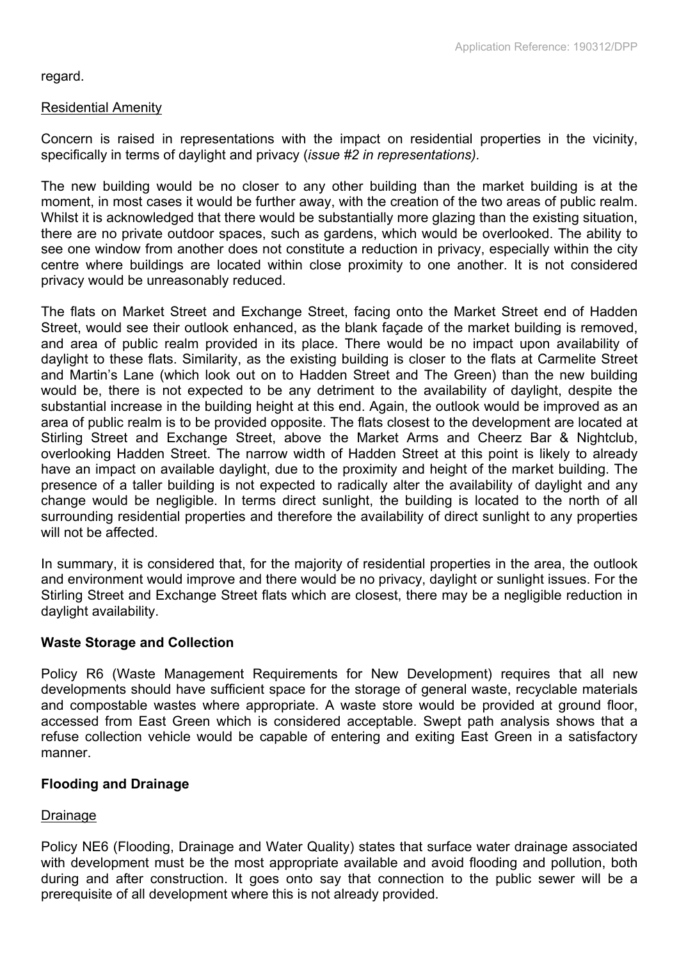regard.

## Residential Amenity

Concern is raised in representations with the impact on residential properties in the vicinity, specifically in terms of daylight and privacy (*issue #2 in representations).*

The new building would be no closer to any other building than the market building is at the moment, in most cases it would be further away, with the creation of the two areas of public realm. Whilst it is acknowledged that there would be substantially more glazing than the existing situation, there are no private outdoor spaces, such as gardens, which would be overlooked. The ability to see one window from another does not constitute a reduction in privacy, especially within the city centre where buildings are located within close proximity to one another. It is not considered privacy would be unreasonably reduced.

The flats on Market Street and Exchange Street, facing onto the Market Street end of Hadden Street, would see their outlook enhanced, as the blank façade of the market building is removed, and area of public realm provided in its place. There would be no impact upon availability of daylight to these flats. Similarity, as the existing building is closer to the flats at Carmelite Street and Martin's Lane (which look out on to Hadden Street and The Green) than the new building would be, there is not expected to be any detriment to the availability of daylight, despite the substantial increase in the building height at this end. Again, the outlook would be improved as an area of public realm is to be provided opposite. The flats closest to the development are located at Stirling Street and Exchange Street, above the Market Arms and Cheerz Bar & Nightclub, overlooking Hadden Street. The narrow width of Hadden Street at this point is likely to already have an impact on available daylight, due to the proximity and height of the market building. The presence of a taller building is not expected to radically alter the availability of daylight and any change would be negligible. In terms direct sunlight, the building is located to the north of all surrounding residential properties and therefore the availability of direct sunlight to any properties will not be affected.

In summary, it is considered that, for the majority of residential properties in the area, the outlook and environment would improve and there would be no privacy, daylight or sunlight issues. For the Stirling Street and Exchange Street flats which are closest, there may be a negligible reduction in daylight availability.

## **Waste Storage and Collection**

Policy R6 (Waste Management Requirements for New Development) requires that all new developments should have sufficient space for the storage of general waste, recyclable materials and compostable wastes where appropriate. A waste store would be provided at ground floor, accessed from East Green which is considered acceptable. Swept path analysis shows that a refuse collection vehicle would be capable of entering and exiting East Green in a satisfactory manner.

## **Flooding and Drainage**

## Drainage

Policy NE6 (Flooding, Drainage and Water Quality) states that surface water drainage associated with development must be the most appropriate available and avoid flooding and pollution, both during and after construction. It goes onto say that connection to the public sewer will be a prerequisite of all development where this is not already provided.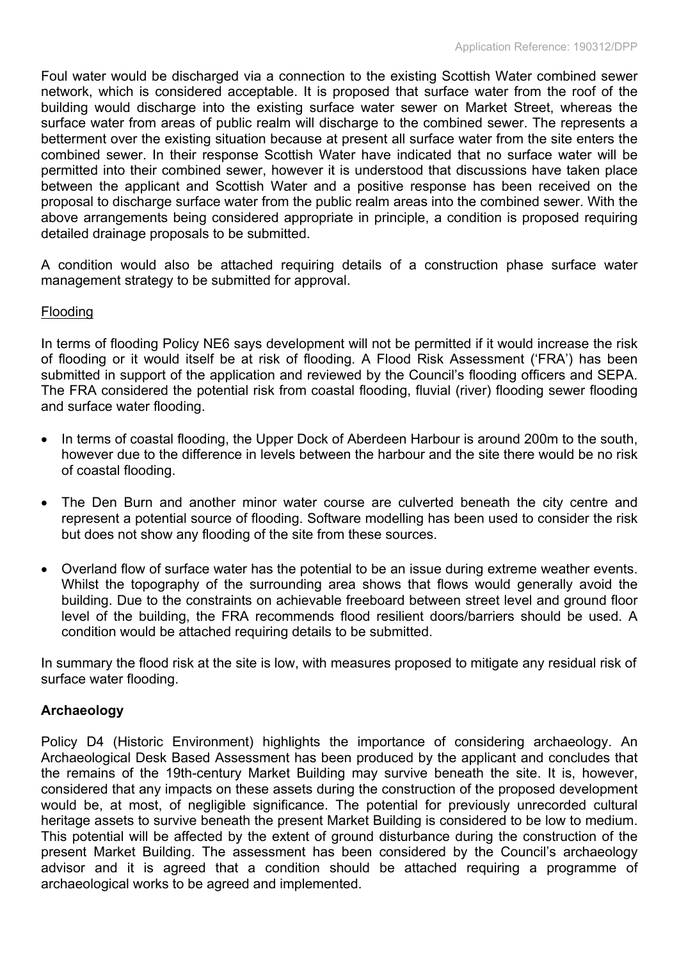Foul water would be discharged via a connection to the existing Scottish Water combined sewer network, which is considered acceptable. It is proposed that surface water from the roof of the building would discharge into the existing surface water sewer on Market Street, whereas the surface water from areas of public realm will discharge to the combined sewer. The represents a betterment over the existing situation because at present all surface water from the site enters the combined sewer. In their response Scottish Water have indicated that no surface water will be permitted into their combined sewer, however it is understood that discussions have taken place between the applicant and Scottish Water and a positive response has been received on the proposal to discharge surface water from the public realm areas into the combined sewer. With the above arrangements being considered appropriate in principle, a condition is proposed requiring detailed drainage proposals to be submitted.

A condition would also be attached requiring details of a construction phase surface water management strategy to be submitted for approval.

## Flooding

In terms of flooding Policy NE6 says development will not be permitted if it would increase the risk of flooding or it would itself be at risk of flooding. A Flood Risk Assessment ('FRA') has been submitted in support of the application and reviewed by the Council's flooding officers and SEPA. The FRA considered the potential risk from coastal flooding, fluvial (river) flooding sewer flooding and surface water flooding.

- In terms of coastal flooding, the Upper Dock of Aberdeen Harbour is around 200m to the south, however due to the difference in levels between the harbour and the site there would be no risk of coastal flooding.
- The Den Burn and another minor water course are culverted beneath the city centre and represent a potential source of flooding. Software modelling has been used to consider the risk but does not show any flooding of the site from these sources.
- Overland flow of surface water has the potential to be an issue during extreme weather events. Whilst the topography of the surrounding area shows that flows would generally avoid the building. Due to the constraints on achievable freeboard between street level and ground floor level of the building, the FRA recommends flood resilient doors/barriers should be used. A condition would be attached requiring details to be submitted.

In summary the flood risk at the site is low, with measures proposed to mitigate any residual risk of surface water flooding.

## **Archaeology**

Policy D4 (Historic Environment) highlights the importance of considering archaeology. An Archaeological Desk Based Assessment has been produced by the applicant and concludes that the remains of the 19th-century Market Building may survive beneath the site. It is, however, considered that any impacts on these assets during the construction of the proposed development would be, at most, of negligible significance. The potential for previously unrecorded cultural heritage assets to survive beneath the present Market Building is considered to be low to medium. This potential will be affected by the extent of ground disturbance during the construction of the present Market Building. The assessment has been considered by the Council's archaeology advisor and it is agreed that a condition should be attached requiring a programme of archaeological works to be agreed and implemented.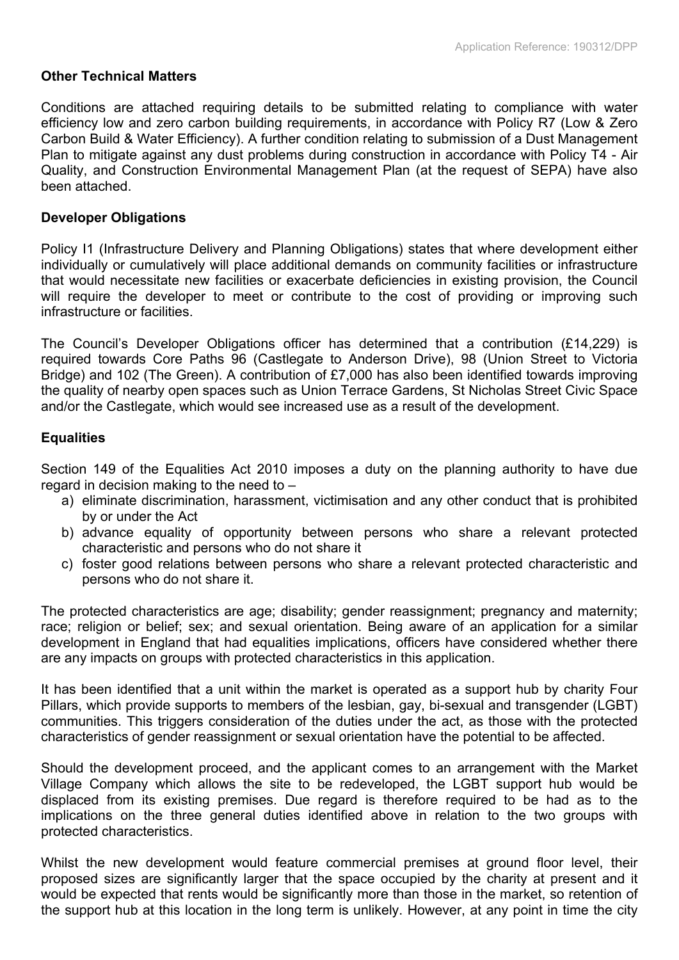## **Other Technical Matters**

Conditions are attached requiring details to be submitted relating to compliance with water efficiency low and zero carbon building requirements, in accordance with Policy R7 (Low & Zero Carbon Build & Water Efficiency). A further condition relating to submission of a Dust Management Plan to mitigate against any dust problems during construction in accordance with Policy T4 - Air Quality, and Construction Environmental Management Plan (at the request of SEPA) have also been attached.

## **Developer Obligations**

Policy I1 (Infrastructure Delivery and Planning Obligations) states that where development either individually or cumulatively will place additional demands on community facilities or infrastructure that would necessitate new facilities or exacerbate deficiencies in existing provision, the Council will require the developer to meet or contribute to the cost of providing or improving such infrastructure or facilities.

The Council's Developer Obligations officer has determined that a contribution (£14,229) is required towards Core Paths 96 (Castlegate to Anderson Drive), 98 (Union Street to Victoria Bridge) and 102 (The Green). A contribution of £7,000 has also been identified towards improving the quality of nearby open spaces such as Union Terrace Gardens, St Nicholas Street Civic Space and/or the Castlegate, which would see increased use as a result of the development.

# **Equalities**

Section 149 of the Equalities Act 2010 imposes a duty on the planning authority to have due regard in decision making to the need to –

- a) eliminate discrimination, harassment, victimisation and any other conduct that is prohibited by or under the Act
- b) advance equality of opportunity between persons who share a relevant protected characteristic and persons who do not share it
- c) foster good relations between persons who share a relevant protected characteristic and persons who do not share it.

The protected characteristics are age; disability; gender reassignment; pregnancy and maternity; race; religion or belief; sex; and sexual orientation. Being aware of an application for a similar development in England that had equalities implications, officers have considered whether there are any impacts on groups with protected characteristics in this application.

It has been identified that a unit within the market is operated as a support hub by charity Four Pillars, which provide supports to members of the lesbian, gay, bi-sexual and transgender (LGBT) communities. This triggers consideration of the duties under the act, as those with the protected characteristics of gender reassignment or sexual orientation have the potential to be affected.

Should the development proceed, and the applicant comes to an arrangement with the Market Village Company which allows the site to be redeveloped, the LGBT support hub would be displaced from its existing premises. Due regard is therefore required to be had as to the implications on the three general duties identified above in relation to the two groups with protected characteristics.

Whilst the new development would feature commercial premises at ground floor level, their proposed sizes are significantly larger that the space occupied by the charity at present and it would be expected that rents would be significantly more than those in the market, so retention of the support hub at this location in the long term is unlikely. However, at any point in time the city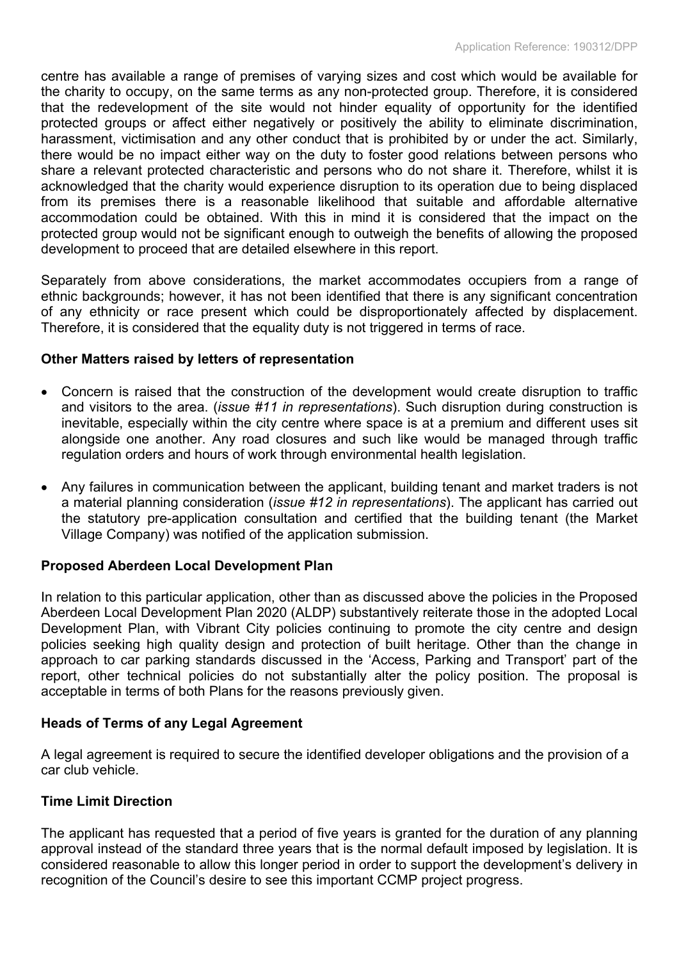centre has available a range of premises of varying sizes and cost which would be available for the charity to occupy, on the same terms as any non-protected group. Therefore, it is considered that the redevelopment of the site would not hinder equality of opportunity for the identified protected groups or affect either negatively or positively the ability to eliminate discrimination, harassment, victimisation and any other conduct that is prohibited by or under the act. Similarly, there would be no impact either way on the duty to foster good relations between persons who share a relevant protected characteristic and persons who do not share it. Therefore, whilst it is acknowledged that the charity would experience disruption to its operation due to being displaced from its premises there is a reasonable likelihood that suitable and affordable alternative accommodation could be obtained. With this in mind it is considered that the impact on the protected group would not be significant enough to outweigh the benefits of allowing the proposed development to proceed that are detailed elsewhere in this report.

Separately from above considerations, the market accommodates occupiers from a range of ethnic backgrounds; however, it has not been identified that there is any significant concentration of any ethnicity or race present which could be disproportionately affected by displacement. Therefore, it is considered that the equality duty is not triggered in terms of race.

## **Other Matters raised by letters of representation**

- Concern is raised that the construction of the development would create disruption to traffic and visitors to the area. (*issue #11 in representations*). Such disruption during construction is inevitable, especially within the city centre where space is at a premium and different uses sit alongside one another. Any road closures and such like would be managed through traffic regulation orders and hours of work through environmental health legislation.
- Any failures in communication between the applicant, building tenant and market traders is not a material planning consideration (*issue #12 in representations*). The applicant has carried out the statutory pre-application consultation and certified that the building tenant (the Market Village Company) was notified of the application submission.

# **Proposed Aberdeen Local Development Plan**

In relation to this particular application, other than as discussed above the policies in the Proposed Aberdeen Local Development Plan 2020 (ALDP) substantively reiterate those in the adopted Local Development Plan, with Vibrant City policies continuing to promote the city centre and design policies seeking high quality design and protection of built heritage. Other than the change in approach to car parking standards discussed in the 'Access, Parking and Transport' part of the report, other technical policies do not substantially alter the policy position. The proposal is acceptable in terms of both Plans for the reasons previously given.

## **Heads of Terms of any Legal Agreement**

A legal agreement is required to secure the identified developer obligations and the provision of a car club vehicle.

# **Time Limit Direction**

The applicant has requested that a period of five years is granted for the duration of any planning approval instead of the standard three years that is the normal default imposed by legislation. It is considered reasonable to allow this longer period in order to support the development's delivery in recognition of the Council's desire to see this important CCMP project progress.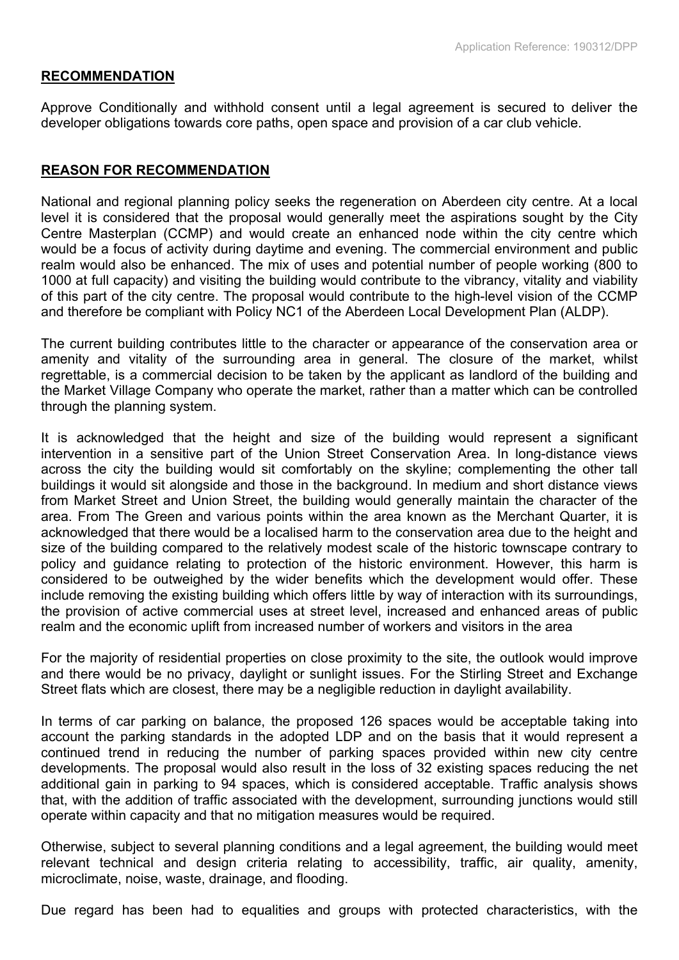#### **RECOMMENDATION**

Approve Conditionally and withhold consent until a legal agreement is secured to deliver the developer obligations towards core paths, open space and provision of a car club vehicle.

#### **REASON FOR RECOMMENDATION**

National and regional planning policy seeks the regeneration on Aberdeen city centre. At a local level it is considered that the proposal would generally meet the aspirations sought by the City Centre Masterplan (CCMP) and would create an enhanced node within the city centre which would be a focus of activity during daytime and evening. The commercial environment and public realm would also be enhanced. The mix of uses and potential number of people working (800 to 1000 at full capacity) and visiting the building would contribute to the vibrancy, vitality and viability of this part of the city centre. The proposal would contribute to the high-level vision of the CCMP and therefore be compliant with Policy NC1 of the Aberdeen Local Development Plan (ALDP).

The current building contributes little to the character or appearance of the conservation area or amenity and vitality of the surrounding area in general. The closure of the market, whilst regrettable, is a commercial decision to be taken by the applicant as landlord of the building and the Market Village Company who operate the market, rather than a matter which can be controlled through the planning system.

It is acknowledged that the height and size of the building would represent a significant intervention in a sensitive part of the Union Street Conservation Area. In long-distance views across the city the building would sit comfortably on the skyline; complementing the other tall buildings it would sit alongside and those in the background. In medium and short distance views from Market Street and Union Street, the building would generally maintain the character of the area. From The Green and various points within the area known as the Merchant Quarter, it is acknowledged that there would be a localised harm to the conservation area due to the height and size of the building compared to the relatively modest scale of the historic townscape contrary to policy and guidance relating to protection of the historic environment. However, this harm is considered to be outweighed by the wider benefits which the development would offer. These include removing the existing building which offers little by way of interaction with its surroundings, the provision of active commercial uses at street level, increased and enhanced areas of public realm and the economic uplift from increased number of workers and visitors in the area

For the majority of residential properties on close proximity to the site, the outlook would improve and there would be no privacy, daylight or sunlight issues. For the Stirling Street and Exchange Street flats which are closest, there may be a negligible reduction in daylight availability.

In terms of car parking on balance, the proposed 126 spaces would be acceptable taking into account the parking standards in the adopted LDP and on the basis that it would represent a continued trend in reducing the number of parking spaces provided within new city centre developments. The proposal would also result in the loss of 32 existing spaces reducing the net additional gain in parking to 94 spaces, which is considered acceptable. Traffic analysis shows that, with the addition of traffic associated with the development, surrounding junctions would still operate within capacity and that no mitigation measures would be required.

Otherwise, subject to several planning conditions and a legal agreement, the building would meet relevant technical and design criteria relating to accessibility, traffic, air quality, amenity, microclimate, noise, waste, drainage, and flooding.

Due regard has been had to equalities and groups with protected characteristics, with the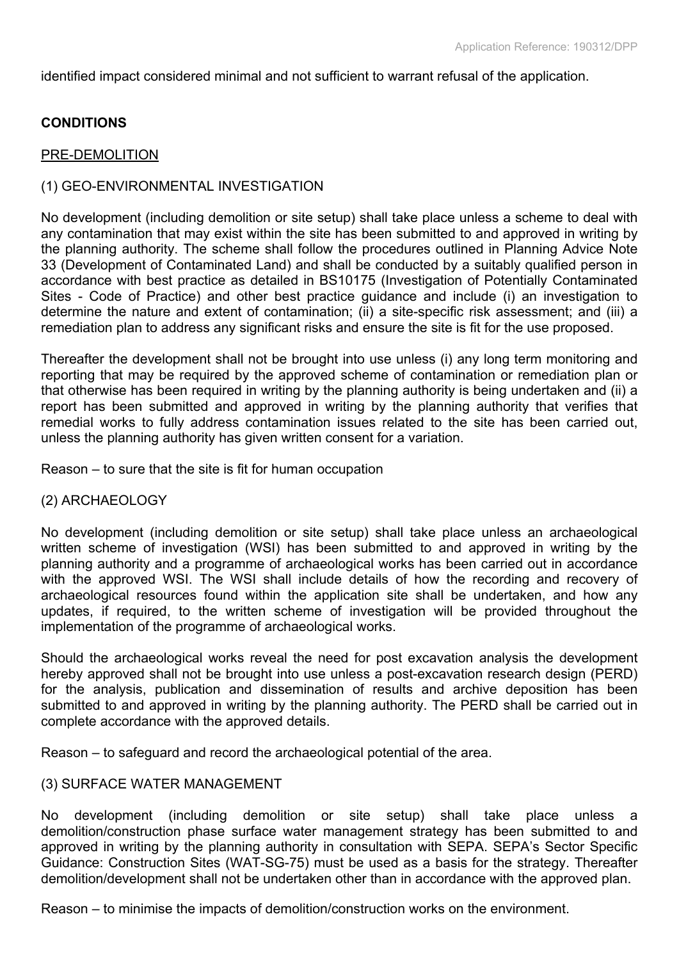identified impact considered minimal and not sufficient to warrant refusal of the application.

## **CONDITIONS**

#### PRE-DEMOLITION

## (1) GEO-ENVIRONMENTAL INVESTIGATION

No development (including demolition or site setup) shall take place unless a scheme to deal with any contamination that may exist within the site has been submitted to and approved in writing by the planning authority. The scheme shall follow the procedures outlined in Planning Advice Note 33 (Development of Contaminated Land) and shall be conducted by a suitably qualified person in accordance with best practice as detailed in BS10175 (Investigation of Potentially Contaminated Sites - Code of Practice) and other best practice guidance and include (i) an investigation to determine the nature and extent of contamination; (ii) a site-specific risk assessment; and (iii) a remediation plan to address any significant risks and ensure the site is fit for the use proposed.

Thereafter the development shall not be brought into use unless (i) any long term monitoring and reporting that may be required by the approved scheme of contamination or remediation plan or that otherwise has been required in writing by the planning authority is being undertaken and (ii) a report has been submitted and approved in writing by the planning authority that verifies that remedial works to fully address contamination issues related to the site has been carried out, unless the planning authority has given written consent for a variation.

Reason – to sure that the site is fit for human occupation

#### (2) ARCHAEOLOGY

No development (including demolition or site setup) shall take place unless an archaeological written scheme of investigation (WSI) has been submitted to and approved in writing by the planning authority and a programme of archaeological works has been carried out in accordance with the approved WSI. The WSI shall include details of how the recording and recovery of archaeological resources found within the application site shall be undertaken, and how any updates, if required, to the written scheme of investigation will be provided throughout the implementation of the programme of archaeological works.

Should the archaeological works reveal the need for post excavation analysis the development hereby approved shall not be brought into use unless a post-excavation research design (PERD) for the analysis, publication and dissemination of results and archive deposition has been submitted to and approved in writing by the planning authority. The PERD shall be carried out in complete accordance with the approved details.

Reason – to safeguard and record the archaeological potential of the area.

## (3) SURFACE WATER MANAGEMENT

No development (including demolition or site setup) shall take place unless a demolition/construction phase surface water management strategy has been submitted to and approved in writing by the planning authority in consultation with SEPA. SEPA's Sector Specific Guidance: Construction Sites (WAT-SG-75) must be used as a basis for the strategy. Thereafter demolition/development shall not be undertaken other than in accordance with the approved plan.

Reason – to minimise the impacts of demolition/construction works on the environment.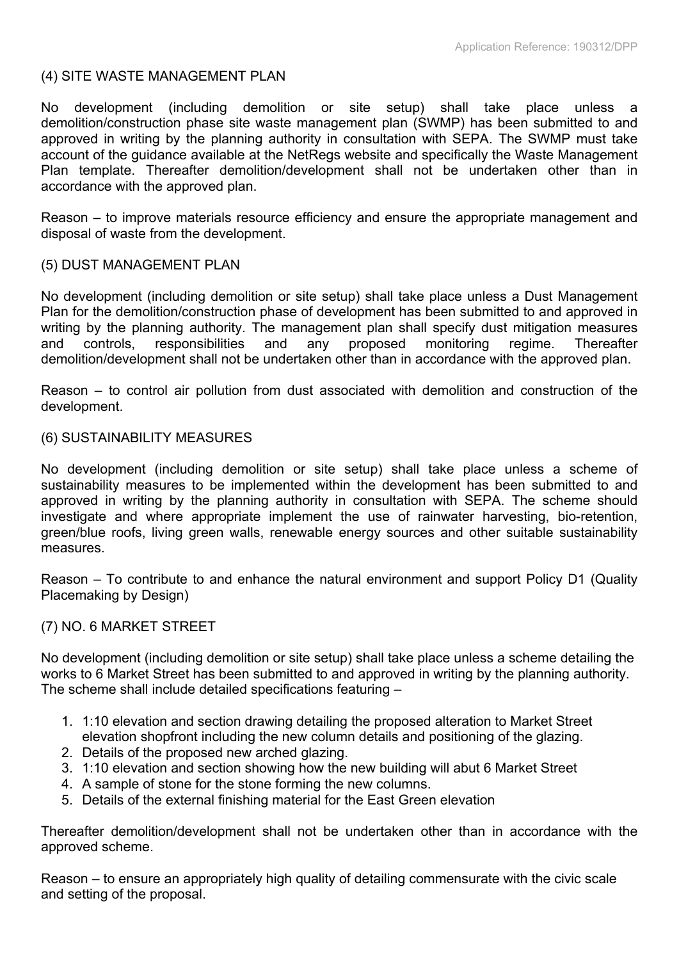## (4) SITE WASTE MANAGEMENT PLAN

No development (including demolition or site setup) shall take place unless a demolition/construction phase site waste management plan (SWMP) has been submitted to and approved in writing by the planning authority in consultation with SEPA. The SWMP must take account of the guidance available at the NetRegs website and specifically the Waste Management Plan template. Thereafter demolition/development shall not be undertaken other than in accordance with the approved plan.

Reason – to improve materials resource efficiency and ensure the appropriate management and disposal of waste from the development.

## (5) DUST MANAGEMENT PLAN

No development (including demolition or site setup) shall take place unless a Dust Management Plan for the demolition/construction phase of development has been submitted to and approved in writing by the planning authority. The management plan shall specify dust mitigation measures and controls, responsibilities and any proposed monitoring regime. Thereafter demolition/development shall not be undertaken other than in accordance with the approved plan.

Reason – to control air pollution from dust associated with demolition and construction of the development.

#### (6) SUSTAINABILITY MEASURES

No development (including demolition or site setup) shall take place unless a scheme of sustainability measures to be implemented within the development has been submitted to and approved in writing by the planning authority in consultation with SEPA. The scheme should investigate and where appropriate implement the use of rainwater harvesting, bio-retention, green/blue roofs, living green walls, renewable energy sources and other suitable sustainability measures.

Reason – To contribute to and enhance the natural environment and support Policy D1 (Quality Placemaking by Design)

## (7) NO. 6 MARKET STREET

No development (including demolition or site setup) shall take place unless a scheme detailing the works to 6 Market Street has been submitted to and approved in writing by the planning authority. The scheme shall include detailed specifications featuring –

- 1. 1:10 elevation and section drawing detailing the proposed alteration to Market Street elevation shopfront including the new column details and positioning of the glazing.
- 2. Details of the proposed new arched glazing.
- 3. 1:10 elevation and section showing how the new building will abut 6 Market Street
- 4. A sample of stone for the stone forming the new columns.
- 5. Details of the external finishing material for the East Green elevation

Thereafter demolition/development shall not be undertaken other than in accordance with the approved scheme.

Reason – to ensure an appropriately high quality of detailing commensurate with the civic scale and setting of the proposal.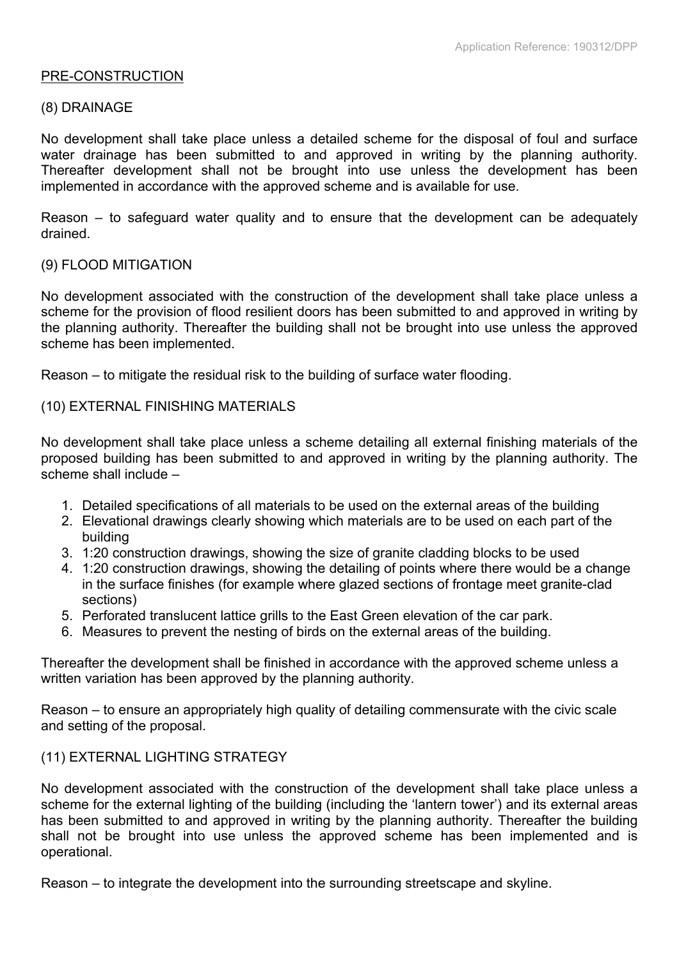#### PRE-CONSTRUCTION

#### (8) DRAINAGE

No development shall take place unless a detailed scheme for the disposal of foul and surface water drainage has been submitted to and approved in writing by the planning authority. Thereafter development shall not be brought into use unless the development has been implemented in accordance with the approved scheme and is available for use.

Reason – to safeguard water quality and to ensure that the development can be adequately drained.

#### (9) FLOOD MITIGATION

No development associated with the construction of the development shall take place unless a scheme for the provision of flood resilient doors has been submitted to and approved in writing by the planning authority. Thereafter the building shall not be brought into use unless the approved scheme has been implemented.

Reason – to mitigate the residual risk to the building of surface water flooding.

(10) EXTERNAL FINISHING MATERIALS

No development shall take place unless a scheme detailing all external finishing materials of the proposed building has been submitted to and approved in writing by the planning authority. The scheme shall include –

- 1. Detailed specifications of all materials to be used on the external areas of the building
- 2. Elevational drawings clearly showing which materials are to be used on each part of the building
- 3. 1:20 construction drawings, showing the size of granite cladding blocks to be used
- 4. 1:20 construction drawings, showing the detailing of points where there would be a change in the surface finishes (for example where glazed sections of frontage meet granite-clad sections)
- 5. Perforated translucent lattice grills to the East Green elevation of the car park.
- 6. Measures to prevent the nesting of birds on the external areas of the building.

Thereafter the development shall be finished in accordance with the approved scheme unless a written variation has been approved by the planning authority.

Reason – to ensure an appropriately high quality of detailing commensurate with the civic scale and setting of the proposal.

## (11) EXTERNAL LIGHTING STRATEGY

No development associated with the construction of the development shall take place unless a scheme for the external lighting of the building (including the 'lantern tower') and its external areas has been submitted to and approved in writing by the planning authority. Thereafter the building shall not be brought into use unless the approved scheme has been implemented and is operational.

Reason – to integrate the development into the surrounding streetscape and skyline.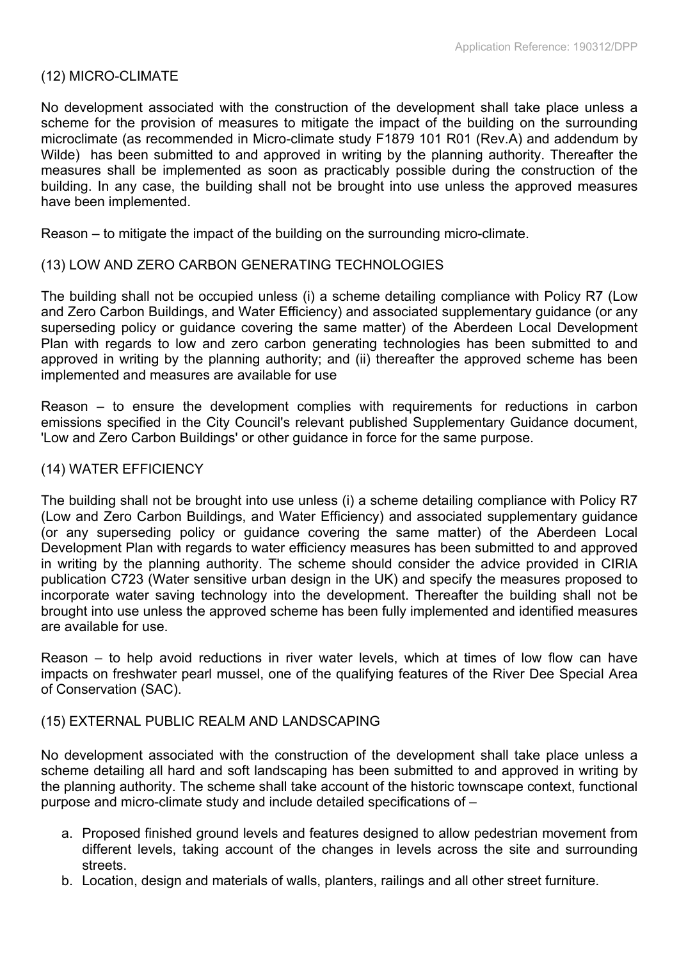## (12) MICRO-CLIMATE

No development associated with the construction of the development shall take place unless a scheme for the provision of measures to mitigate the impact of the building on the surrounding microclimate (as recommended in Micro-climate study F1879 101 R01 (Rev.A) and addendum by Wilde) has been submitted to and approved in writing by the planning authority. Thereafter the measures shall be implemented as soon as practicably possible during the construction of the building. In any case, the building shall not be brought into use unless the approved measures have been implemented.

Reason – to mitigate the impact of the building on the surrounding micro-climate.

#### (13) LOW AND ZERO CARBON GENERATING TECHNOLOGIES

The building shall not be occupied unless (i) a scheme detailing compliance with Policy R7 (Low and Zero Carbon Buildings, and Water Efficiency) and associated supplementary guidance (or any superseding policy or guidance covering the same matter) of the Aberdeen Local Development Plan with regards to low and zero carbon generating technologies has been submitted to and approved in writing by the planning authority; and (ii) thereafter the approved scheme has been implemented and measures are available for use

Reason – to ensure the development complies with requirements for reductions in carbon emissions specified in the City Council's relevant published Supplementary Guidance document, 'Low and Zero Carbon Buildings' or other guidance in force for the same purpose.

#### (14) WATER EFFICIENCY

The building shall not be brought into use unless (i) a scheme detailing compliance with Policy R7 (Low and Zero Carbon Buildings, and Water Efficiency) and associated supplementary guidance (or any superseding policy or guidance covering the same matter) of the Aberdeen Local Development Plan with regards to water efficiency measures has been submitted to and approved in writing by the planning authority. The scheme should consider the advice provided in CIRIA publication C723 (Water sensitive urban design in the UK) and specify the measures proposed to incorporate water saving technology into the development. Thereafter the building shall not be brought into use unless the approved scheme has been fully implemented and identified measures are available for use.

Reason – to help avoid reductions in river water levels, which at times of low flow can have impacts on freshwater pearl mussel, one of the qualifying features of the River Dee Special Area of Conservation (SAC).

#### (15) EXTERNAL PUBLIC REALM AND LANDSCAPING

No development associated with the construction of the development shall take place unless a scheme detailing all hard and soft landscaping has been submitted to and approved in writing by the planning authority. The scheme shall take account of the historic townscape context, functional purpose and micro-climate study and include detailed specifications of –

- a. Proposed finished ground levels and features designed to allow pedestrian movement from different levels, taking account of the changes in levels across the site and surrounding streets.
- b. Location, design and materials of walls, planters, railings and all other street furniture.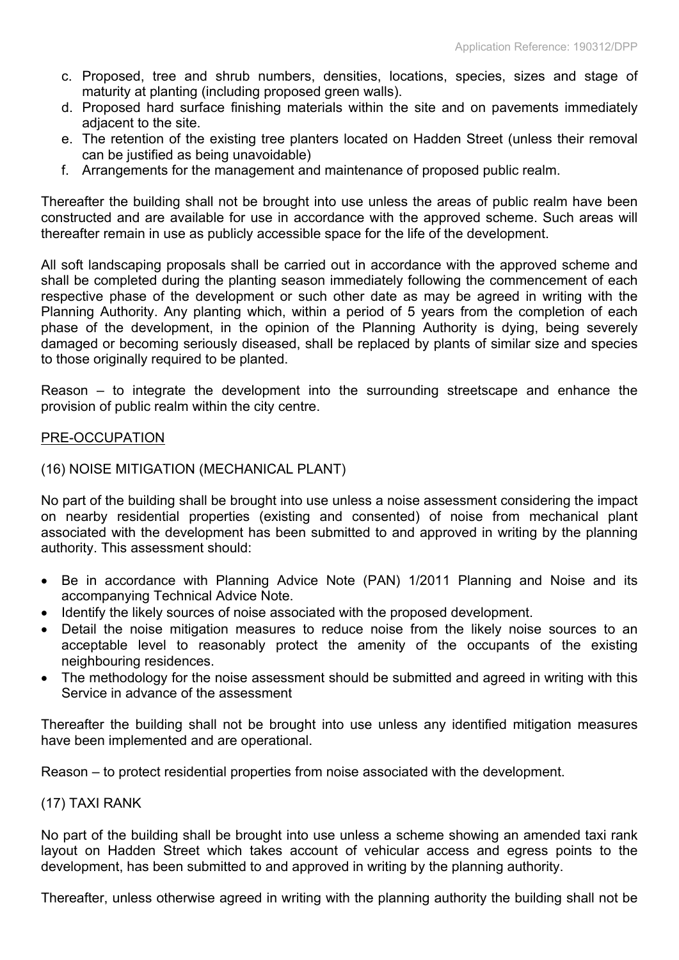- c. Proposed, tree and shrub numbers, densities, locations, species, sizes and stage of maturity at planting (including proposed green walls).
- d. Proposed hard surface finishing materials within the site and on pavements immediately adjacent to the site.
- e. The retention of the existing tree planters located on Hadden Street (unless their removal can be justified as being unavoidable)
- f. Arrangements for the management and maintenance of proposed public realm.

Thereafter the building shall not be brought into use unless the areas of public realm have been constructed and are available for use in accordance with the approved scheme. Such areas will thereafter remain in use as publicly accessible space for the life of the development.

All soft landscaping proposals shall be carried out in accordance with the approved scheme and shall be completed during the planting season immediately following the commencement of each respective phase of the development or such other date as may be agreed in writing with the Planning Authority. Any planting which, within a period of 5 years from the completion of each phase of the development, in the opinion of the Planning Authority is dying, being severely damaged or becoming seriously diseased, shall be replaced by plants of similar size and species to those originally required to be planted.

Reason – to integrate the development into the surrounding streetscape and enhance the provision of public realm within the city centre.

#### PRE-OCCUPATION

#### (16) NOISE MITIGATION (MECHANICAL PLANT)

No part of the building shall be brought into use unless a noise assessment considering the impact on nearby residential properties (existing and consented) of noise from mechanical plant associated with the development has been submitted to and approved in writing by the planning authority. This assessment should:

- Be in accordance with Planning Advice Note (PAN) 1/2011 Planning and Noise and its accompanying Technical Advice Note.
- Identify the likely sources of noise associated with the proposed development.
- Detail the noise mitigation measures to reduce noise from the likely noise sources to an acceptable level to reasonably protect the amenity of the occupants of the existing neighbouring residences.
- The methodology for the noise assessment should be submitted and agreed in writing with this Service in advance of the assessment

Thereafter the building shall not be brought into use unless any identified mitigation measures have been implemented and are operational.

Reason – to protect residential properties from noise associated with the development.

#### (17) TAXI RANK

No part of the building shall be brought into use unless a scheme showing an amended taxi rank layout on Hadden Street which takes account of vehicular access and egress points to the development, has been submitted to and approved in writing by the planning authority.

Thereafter, unless otherwise agreed in writing with the planning authority the building shall not be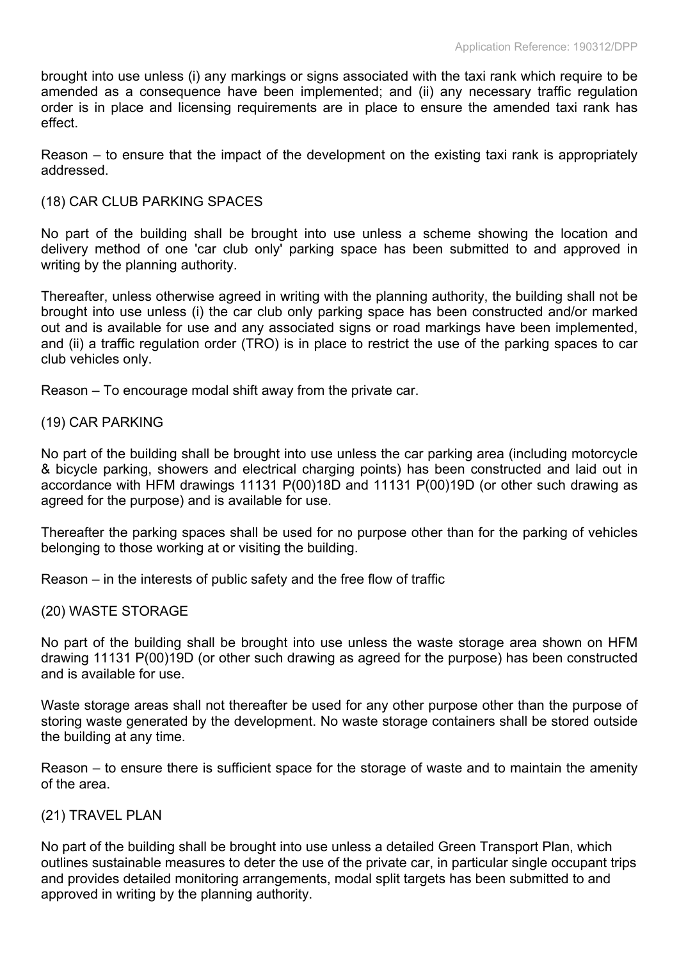brought into use unless (i) any markings or signs associated with the taxi rank which require to be amended as a consequence have been implemented; and (ii) any necessary traffic regulation order is in place and licensing requirements are in place to ensure the amended taxi rank has effect.

Reason – to ensure that the impact of the development on the existing taxi rank is appropriately addressed.

## (18) CAR CLUB PARKING SPACES

No part of the building shall be brought into use unless a scheme showing the location and delivery method of one 'car club only' parking space has been submitted to and approved in writing by the planning authority.

Thereafter, unless otherwise agreed in writing with the planning authority, the building shall not be brought into use unless (i) the car club only parking space has been constructed and/or marked out and is available for use and any associated signs or road markings have been implemented, and (ii) a traffic regulation order (TRO) is in place to restrict the use of the parking spaces to car club vehicles only.

Reason – To encourage modal shift away from the private car.

## (19) CAR PARKING

No part of the building shall be brought into use unless the car parking area (including motorcycle & bicycle parking, showers and electrical charging points) has been constructed and laid out in accordance with HFM drawings 11131 P(00)18D and 11131 P(00)19D (or other such drawing as agreed for the purpose) and is available for use.

Thereafter the parking spaces shall be used for no purpose other than for the parking of vehicles belonging to those working at or visiting the building.

Reason – in the interests of public safety and the free flow of traffic

#### (20) WASTE STORAGE

No part of the building shall be brought into use unless the waste storage area shown on HFM drawing 11131 P(00)19D (or other such drawing as agreed for the purpose) has been constructed and is available for use.

Waste storage areas shall not thereafter be used for any other purpose other than the purpose of storing waste generated by the development. No waste storage containers shall be stored outside the building at any time.

Reason – to ensure there is sufficient space for the storage of waste and to maintain the amenity of the area.

#### (21) TRAVEL PLAN

No part of the building shall be brought into use unless a detailed Green Transport Plan, which outlines sustainable measures to deter the use of the private car, in particular single occupant trips and provides detailed monitoring arrangements, modal split targets has been submitted to and approved in writing by the planning authority.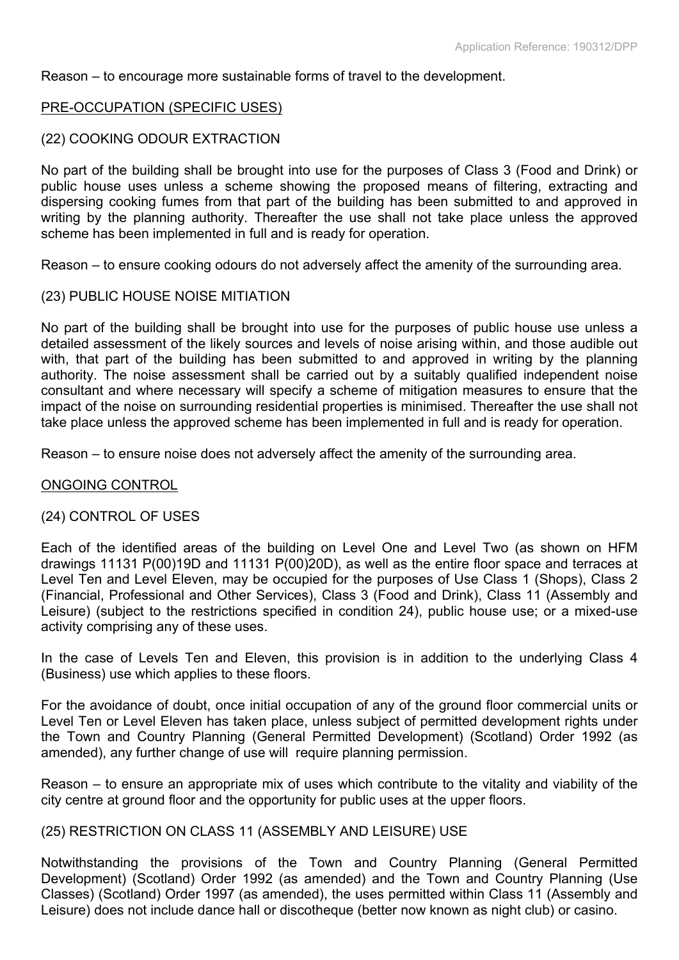## Reason – to encourage more sustainable forms of travel to the development.

## PRE-OCCUPATION (SPECIFIC USES)

#### (22) COOKING ODOUR EXTRACTION

No part of the building shall be brought into use for the purposes of Class 3 (Food and Drink) or public house uses unless a scheme showing the proposed means of filtering, extracting and dispersing cooking fumes from that part of the building has been submitted to and approved in writing by the planning authority. Thereafter the use shall not take place unless the approved scheme has been implemented in full and is ready for operation.

Reason – to ensure cooking odours do not adversely affect the amenity of the surrounding area.

#### (23) PUBLIC HOUSE NOISE MITIATION

No part of the building shall be brought into use for the purposes of public house use unless a detailed assessment of the likely sources and levels of noise arising within, and those audible out with, that part of the building has been submitted to and approved in writing by the planning authority. The noise assessment shall be carried out by a suitably qualified independent noise consultant and where necessary will specify a scheme of mitigation measures to ensure that the impact of the noise on surrounding residential properties is minimised. Thereafter the use shall not take place unless the approved scheme has been implemented in full and is ready for operation.

Reason – to ensure noise does not adversely affect the amenity of the surrounding area.

#### ONGOING CONTROL

#### (24) CONTROL OF USES

Each of the identified areas of the building on Level One and Level Two (as shown on HFM drawings 11131 P(00)19D and 11131 P(00)20D), as well as the entire floor space and terraces at Level Ten and Level Eleven, may be occupied for the purposes of Use Class 1 (Shops), Class 2 (Financial, Professional and Other Services), Class 3 (Food and Drink), Class 11 (Assembly and Leisure) (subject to the restrictions specified in condition 24), public house use; or a mixed-use activity comprising any of these uses.

In the case of Levels Ten and Eleven, this provision is in addition to the underlying Class 4 (Business) use which applies to these floors.

For the avoidance of doubt, once initial occupation of any of the ground floor commercial units or Level Ten or Level Eleven has taken place, unless subject of permitted development rights under the Town and Country Planning (General Permitted Development) (Scotland) Order 1992 (as amended), any further change of use will require planning permission.

Reason – to ensure an appropriate mix of uses which contribute to the vitality and viability of the city centre at ground floor and the opportunity for public uses at the upper floors.

#### (25) RESTRICTION ON CLASS 11 (ASSEMBLY AND LEISURE) USE

Notwithstanding the provisions of the Town and Country Planning (General Permitted Development) (Scotland) Order 1992 (as amended) and the Town and Country Planning (Use Classes) (Scotland) Order 1997 (as amended), the uses permitted within Class 11 (Assembly and Leisure) does not include dance hall or discotheque (better now known as night club) or casino.